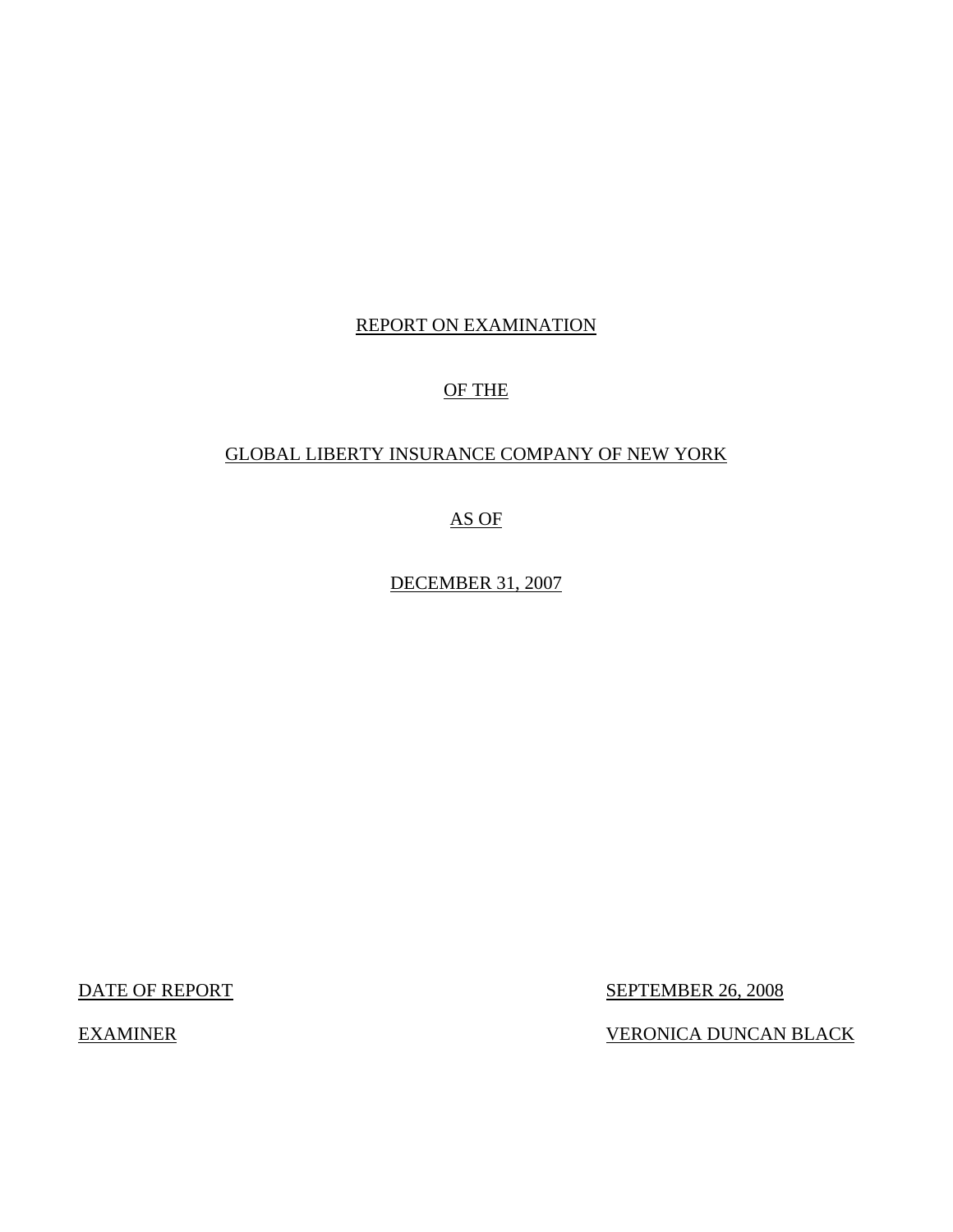## REPORT ON EXAMINATION

## OF THE

## GLOBAL LIBERTY INSURANCE COMPANY OF NEW YORK

AS OF

DECEMBER 31, 2007

DATE OF REPORT SEPTEMBER 26, 2008

EXAMINER VERONICA DUNCAN BLACK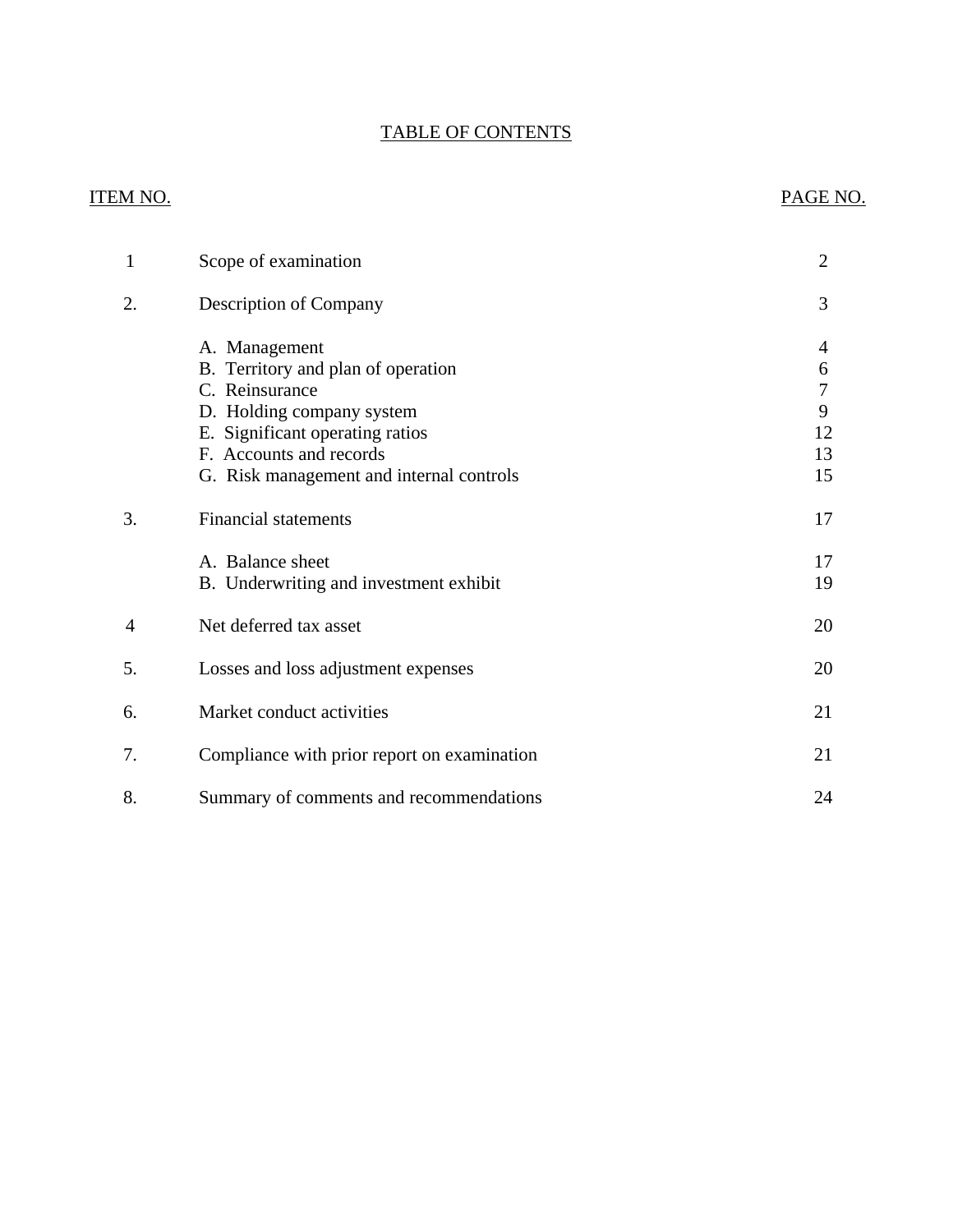## TABLE OF CONTENTS

## ITEM NO. PAGE NO.

| $\mathbf{1}$   | Scope of examination                                                                                                                                                                                         | $\overline{2}$                                    |
|----------------|--------------------------------------------------------------------------------------------------------------------------------------------------------------------------------------------------------------|---------------------------------------------------|
| 2.             | <b>Description of Company</b>                                                                                                                                                                                | 3                                                 |
|                | A. Management<br>B. Territory and plan of operation<br>C. Reinsurance<br>D. Holding company system<br>E. Significant operating ratios<br>F. Accounts and records<br>G. Risk management and internal controls | 4<br>6<br>$\boldsymbol{7}$<br>9<br>12<br>13<br>15 |
| 3.             | <b>Financial statements</b>                                                                                                                                                                                  | 17                                                |
|                | A. Balance sheet<br>B. Underwriting and investment exhibit                                                                                                                                                   | 17<br>19                                          |
| $\overline{4}$ | Net deferred tax asset                                                                                                                                                                                       | 20                                                |
| 5.             | Losses and loss adjustment expenses                                                                                                                                                                          | 20                                                |
| 6.             | Market conduct activities                                                                                                                                                                                    | 21                                                |
| 7.             | Compliance with prior report on examination                                                                                                                                                                  | 21                                                |
| 8.             | Summary of comments and recommendations                                                                                                                                                                      | 24                                                |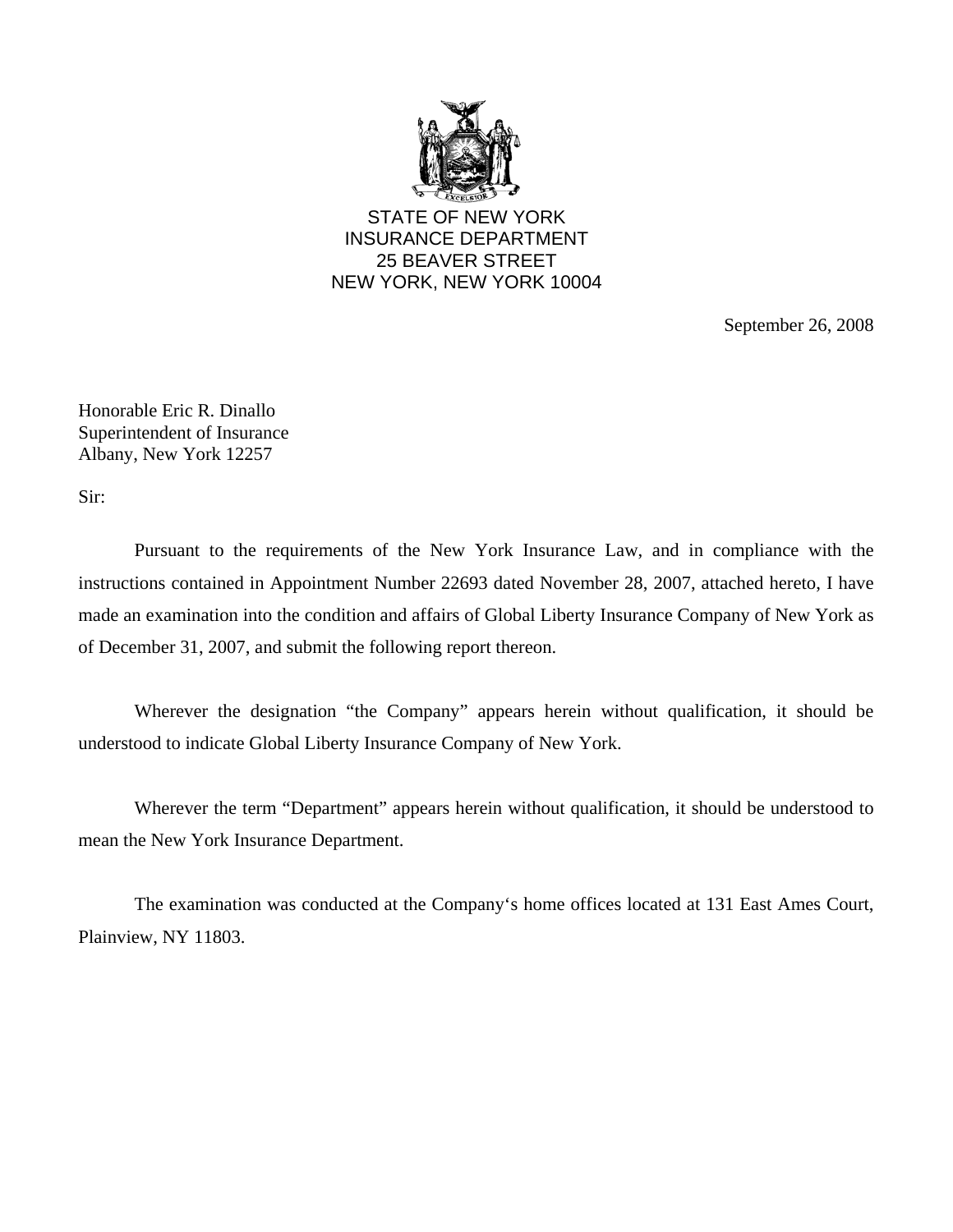

STATE OF NEW YORK INSURANCE DEPARTMENT 25 BEAVER STREET NEW YORK, NEW YORK 10004

September 26, 2008

Honorable Eric R. Dinallo Superintendent of Insurance Albany, New York 12257

Sir:

Pursuant to the requirements of the New York Insurance Law, and in compliance with the instructions contained in Appointment Number 22693 dated November 28, 2007, attached hereto, I have made an examination into the condition and affairs of Global Liberty Insurance Company of New York as of December 31, 2007, and submit the following report thereon.

Wherever the designation "the Company" appears herein without qualification, it should be understood to indicate Global Liberty Insurance Company of New York.

Wherever the term "Department" appears herein without qualification, it should be understood to mean the New York Insurance Department.

The examination was conducted at the Company's home offices located at 131 East Ames Court, Plainview, NY 11803.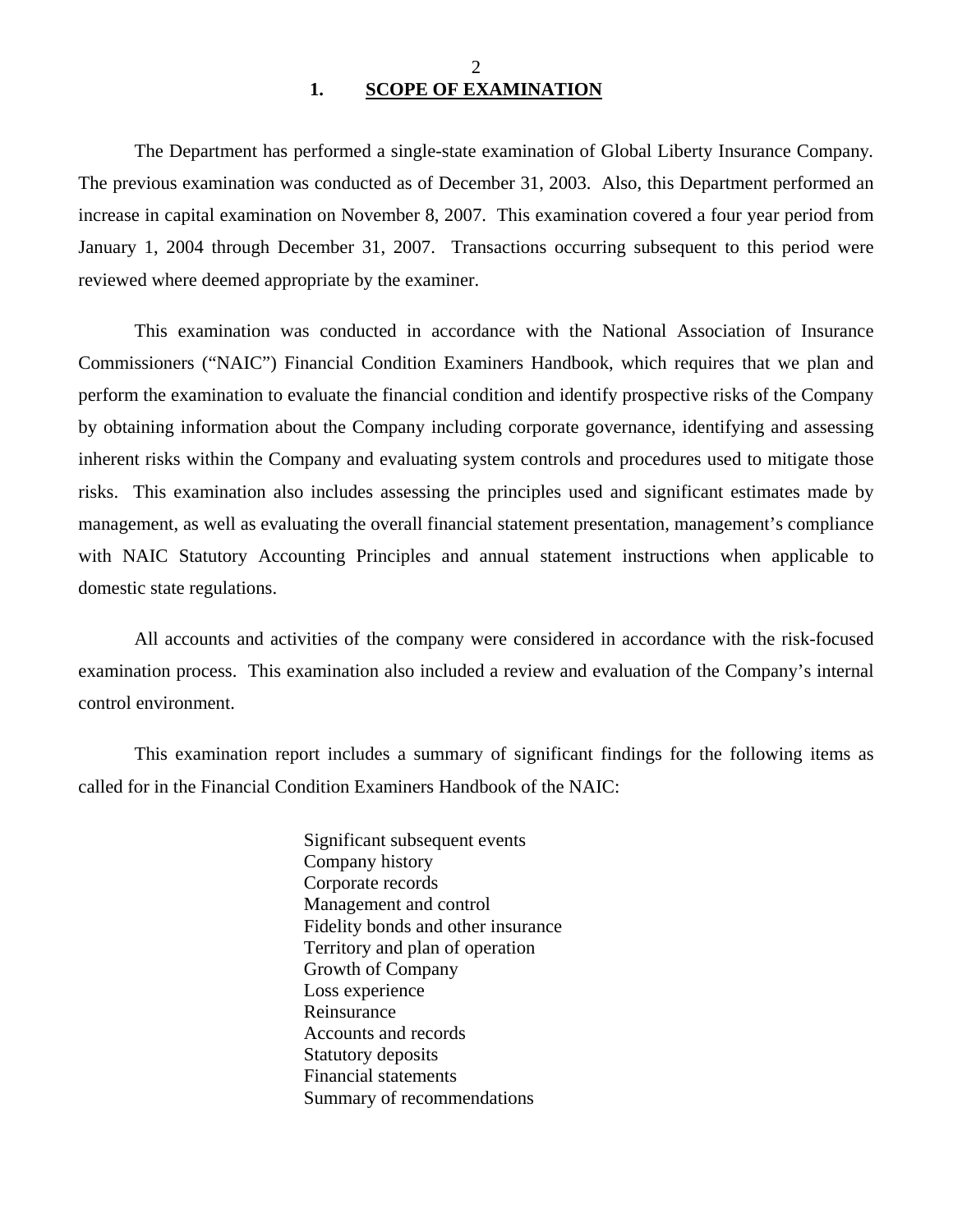2 **1. SCOPE OF EXAMINATION** 

<span id="page-3-0"></span>The Department has performed a single-state examination of Global Liberty Insurance Company*.*  The previous examination was conducted as of December 31, 2003. Also, this Department performed an increase in capital examination on November 8, 2007. This examination covered a four year period from January 1, 2004 through December 31, 2007. Transactions occurring subsequent to this period were reviewed where deemed appropriate by the examiner.

This examination was conducted in accordance with the National Association of Insurance Commissioners ("NAIC") Financial Condition Examiners Handbook, which requires that we plan and perform the examination to evaluate the financial condition and identify prospective risks of the Company by obtaining information about the Company including corporate governance, identifying and assessing inherent risks within the Company and evaluating system controls and procedures used to mitigate those risks. This examination also includes assessing the principles used and significant estimates made by management, as well as evaluating the overall financial statement presentation, management's compliance with NAIC Statutory Accounting Principles and annual statement instructions when applicable to domestic state regulations.

All accounts and activities of the company were considered in accordance with the risk-focused examination process. This examination also included a review and evaluation of the Company's internal control environment.

This examination report includes a summary of significant findings for the following items as called for in the Financial Condition Examiners Handbook of the NAIC:

> Significant subsequent events Company history Corporate records Management and control Fidelity bonds and other insurance Territory and plan of operation Growth of Company Loss experience Reinsurance Accounts and records Statutory deposits Financial statements Summary of recommendations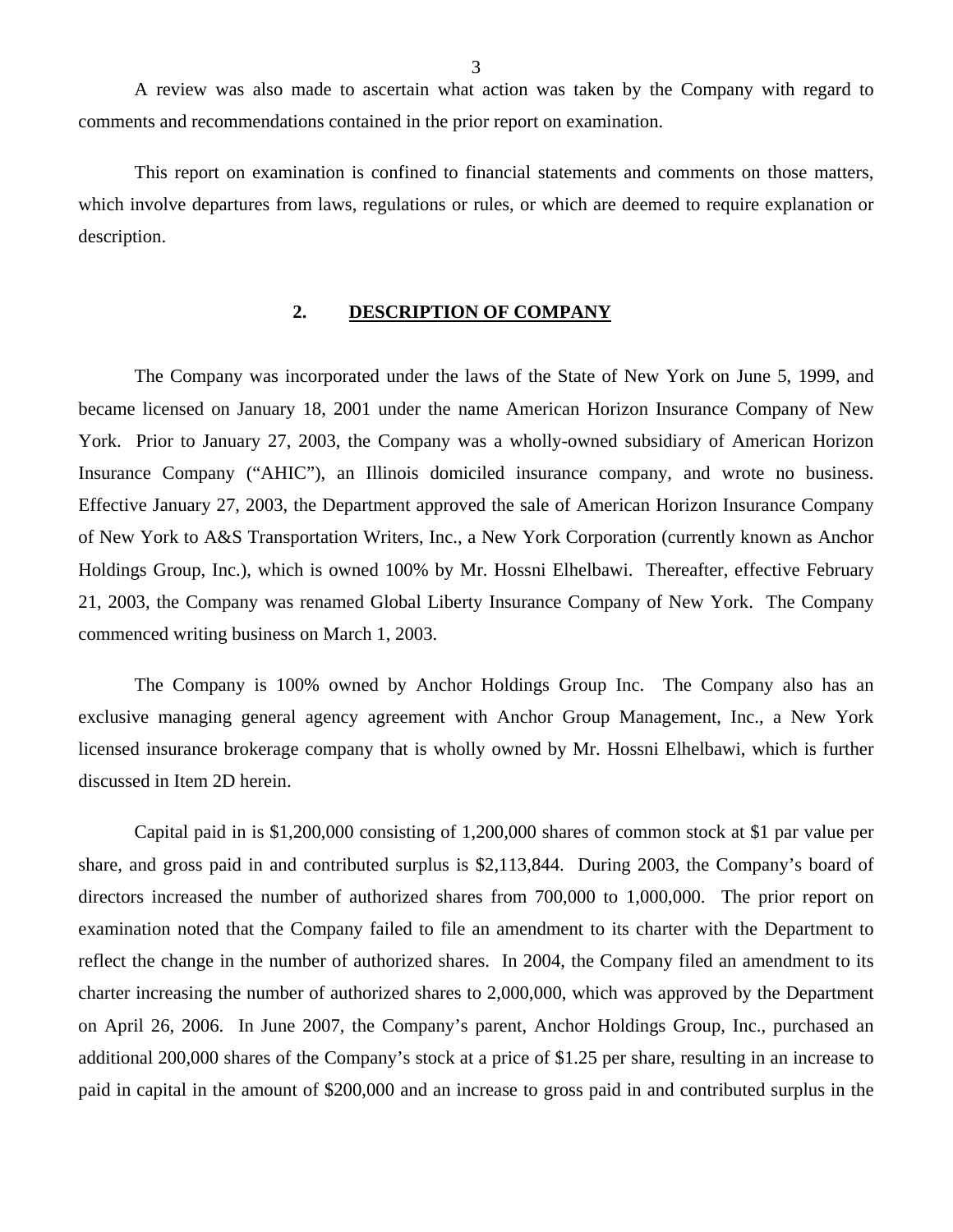<span id="page-4-0"></span>A review was also made to ascertain what action was taken by the Company with regard to comments and recommendations contained in the prior report on examination.

This report on examination is confined to financial statements and comments on those matters, which involve departures from laws, regulations or rules, or which are deemed to require explanation or description.

## **2. DESCRIPTION OF COMPANY**

The Company was incorporated under the laws of the State of New York on June 5, 1999, and became licensed on January 18, 2001 under the name American Horizon Insurance Company of New York. Prior to January 27, 2003, the Company was a wholly-owned subsidiary of American Horizon Insurance Company ("AHIC"), an Illinois domiciled insurance company, and wrote no business. Effective January 27, 2003, the Department approved the sale of American Horizon Insurance Company of New York to A&S Transportation Writers, Inc., a New York Corporation (currently known as Anchor Holdings Group, Inc.), which is owned 100% by Mr. Hossni Elhelbawi. Thereafter, effective February 21, 2003, the Company was renamed Global Liberty Insurance Company of New York. The Company commenced writing business on March 1, 2003.

The Company is 100% owned by Anchor Holdings Group Inc. The Company also has an exclusive managing general agency agreement with Anchor Group Management, Inc., a New York licensed insurance brokerage company that is wholly owned by Mr. Hossni Elhelbawi, which is further discussed in Item 2D herein.

Capital paid in is \$1,200,000 consisting of 1,200,000 shares of common stock at \$1 par value per share, and gross paid in and contributed surplus is \$2,113,844. During 2003, the Company's board of directors increased the number of authorized shares from 700,000 to 1,000,000. The prior report on examination noted that the Company failed to file an amendment to its charter with the Department to reflect the change in the number of authorized shares. In 2004, the Company filed an amendment to its charter increasing the number of authorized shares to 2,000,000, which was approved by the Department on April 26, 2006. In June 2007, the Company's parent, Anchor Holdings Group, Inc., purchased an additional 200,000 shares of the Company's stock at a price of \$1.25 per share, resulting in an increase to paid in capital in the amount of \$200,000 and an increase to gross paid in and contributed surplus in the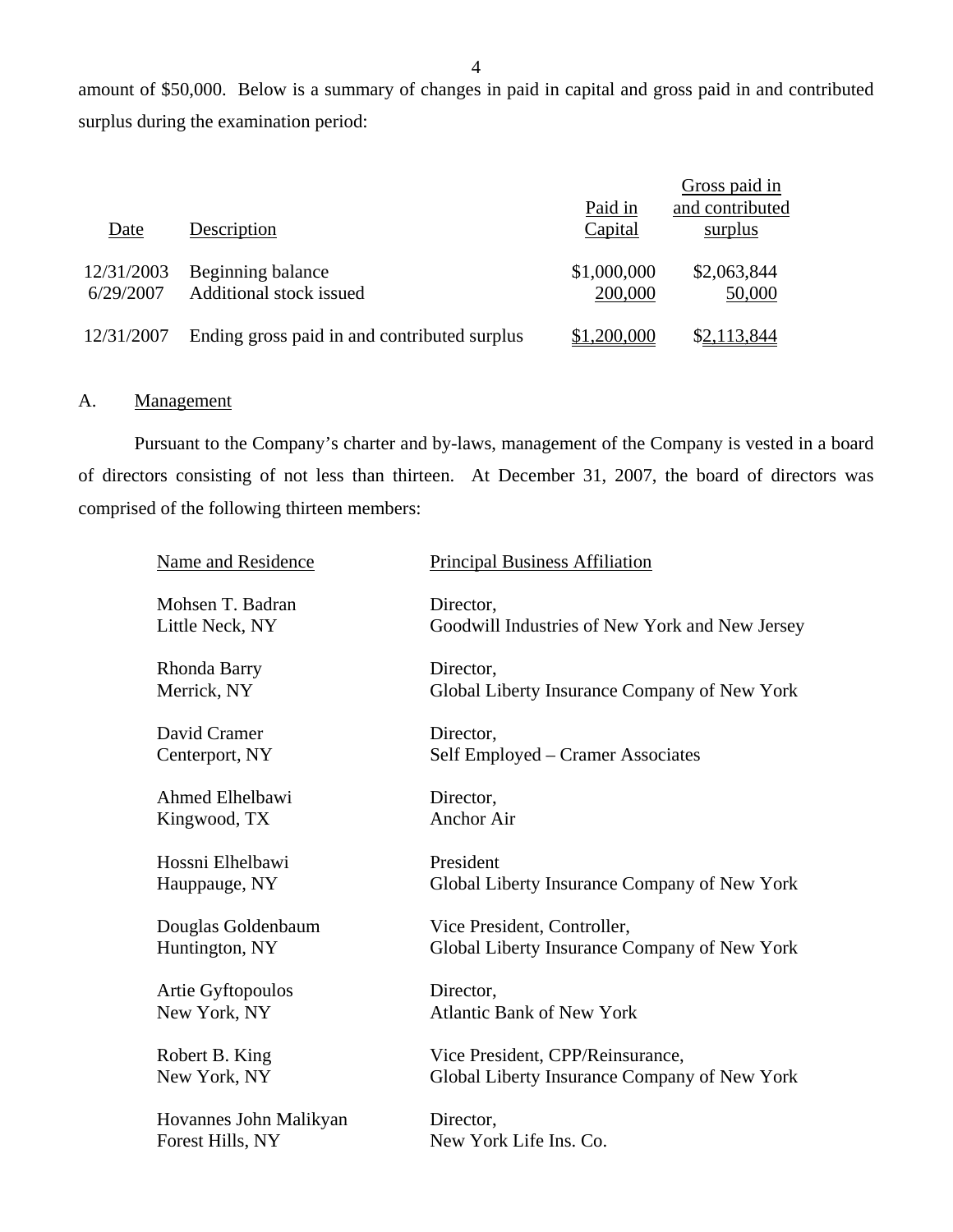amount of \$50,000. Below is a summary of changes in paid in capital and gross paid in and contributed surplus during the examination period:

|                         |                                              | Paid in                | Gross paid in<br>and contributed |
|-------------------------|----------------------------------------------|------------------------|----------------------------------|
| Date                    | Description                                  | Capital                | surplus                          |
| 12/31/2003<br>6/29/2007 | Beginning balance<br>Additional stock issued | \$1,000,000<br>200,000 | \$2,063,844<br>50,000            |
| 12/31/2007              | Ending gross paid in and contributed surplus | \$1,200,000            | \$2,113,844                      |

## A. Management

Pursuant to the Company's charter and by-laws, management of the Company is vested in a board of directors consisting of not less than thirteen. At December 31, 2007, the board of directors was comprised of the following thirteen members:

| Name and Residence     | <b>Principal Business Affiliation</b>          |
|------------------------|------------------------------------------------|
| Mohsen T. Badran       | Director,                                      |
| Little Neck, NY        | Goodwill Industries of New York and New Jersey |
| Rhonda Barry           | Director,                                      |
| Merrick, NY            | Global Liberty Insurance Company of New York   |
| David Cramer           | Director,                                      |
| Centerport, NY         | Self Employed – Cramer Associates              |
| Ahmed Elhelbawi        | Director,                                      |
| Kingwood, TX           | <b>Anchor Air</b>                              |
| Hossni Elhelbawi       | President                                      |
| Hauppauge, NY          | Global Liberty Insurance Company of New York   |
| Douglas Goldenbaum     | Vice President, Controller,                    |
| Huntington, NY         | Global Liberty Insurance Company of New York   |
| Artie Gyftopoulos      | Director,                                      |
| New York, NY           | <b>Atlantic Bank of New York</b>               |
| Robert B. King         | Vice President, CPP/Reinsurance,               |
| New York, NY           | Global Liberty Insurance Company of New York   |
| Hovannes John Malikyan | Director,                                      |
| Forest Hills, NY       | New York Life Ins. Co.                         |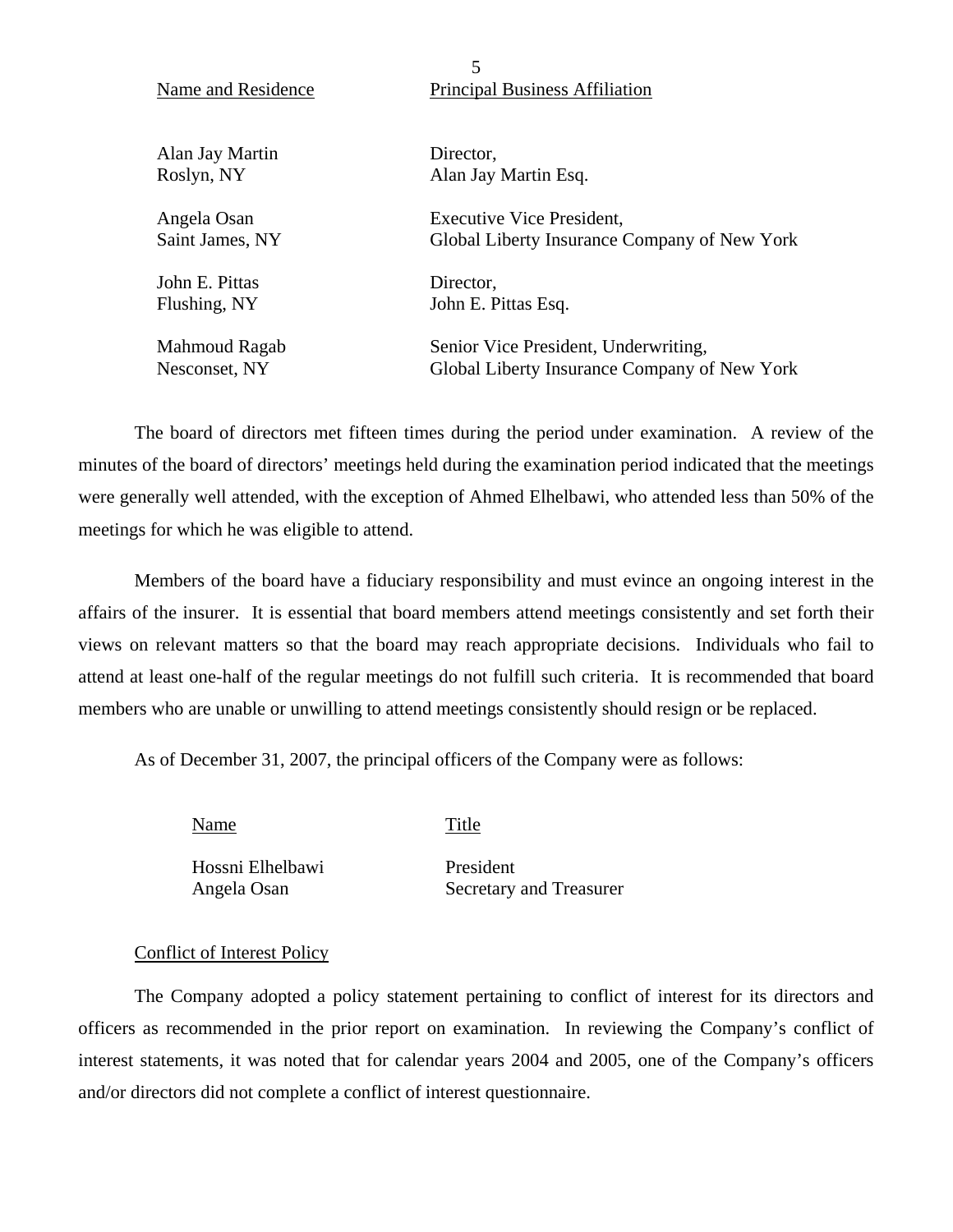| Name and Residence | <b>Principal Business Affiliation</b>        |
|--------------------|----------------------------------------------|
| Alan Jay Martin    | Director,                                    |
| Roslyn, NY         | Alan Jay Martin Esq.                         |
| Angela Osan        | <b>Executive Vice President,</b>             |
| Saint James, NY    | Global Liberty Insurance Company of New York |
| John E. Pittas     | Director,                                    |
| Flushing, NY       | John E. Pittas Esq.                          |
| Mahmoud Ragab      | Senior Vice President, Underwriting,         |
| Nesconset, NY      | Global Liberty Insurance Company of New York |

5

The board of directors met fifteen times during the period under examination. A review of the minutes of the board of directors' meetings held during the examination period indicated that the meetings were generally well attended, with the exception of Ahmed Elhelbawi, who attended less than 50% of the meetings for which he was eligible to attend.

Members of the board have a fiduciary responsibility and must evince an ongoing interest in the affairs of the insurer. It is essential that board members attend meetings consistently and set forth their views on relevant matters so that the board may reach appropriate decisions. Individuals who fail to attend at least one-half of the regular meetings do not fulfill such criteria. It is recommended that board members who are unable or unwilling to attend meetings consistently should resign or be replaced.

As of December 31, 2007, the principal officers of the Company were as follows:

Name Title

Hossni Elhelbawi President

Angela Osan Secretary and Treasurer

## Conflict of Interest Policy

The Company adopted a policy statement pertaining to conflict of interest for its directors and officers as recommended in the prior report on examination. In reviewing the Company's conflict of interest statements, it was noted that for calendar years 2004 and 2005, one of the Company's officers and/or directors did not complete a conflict of interest questionnaire.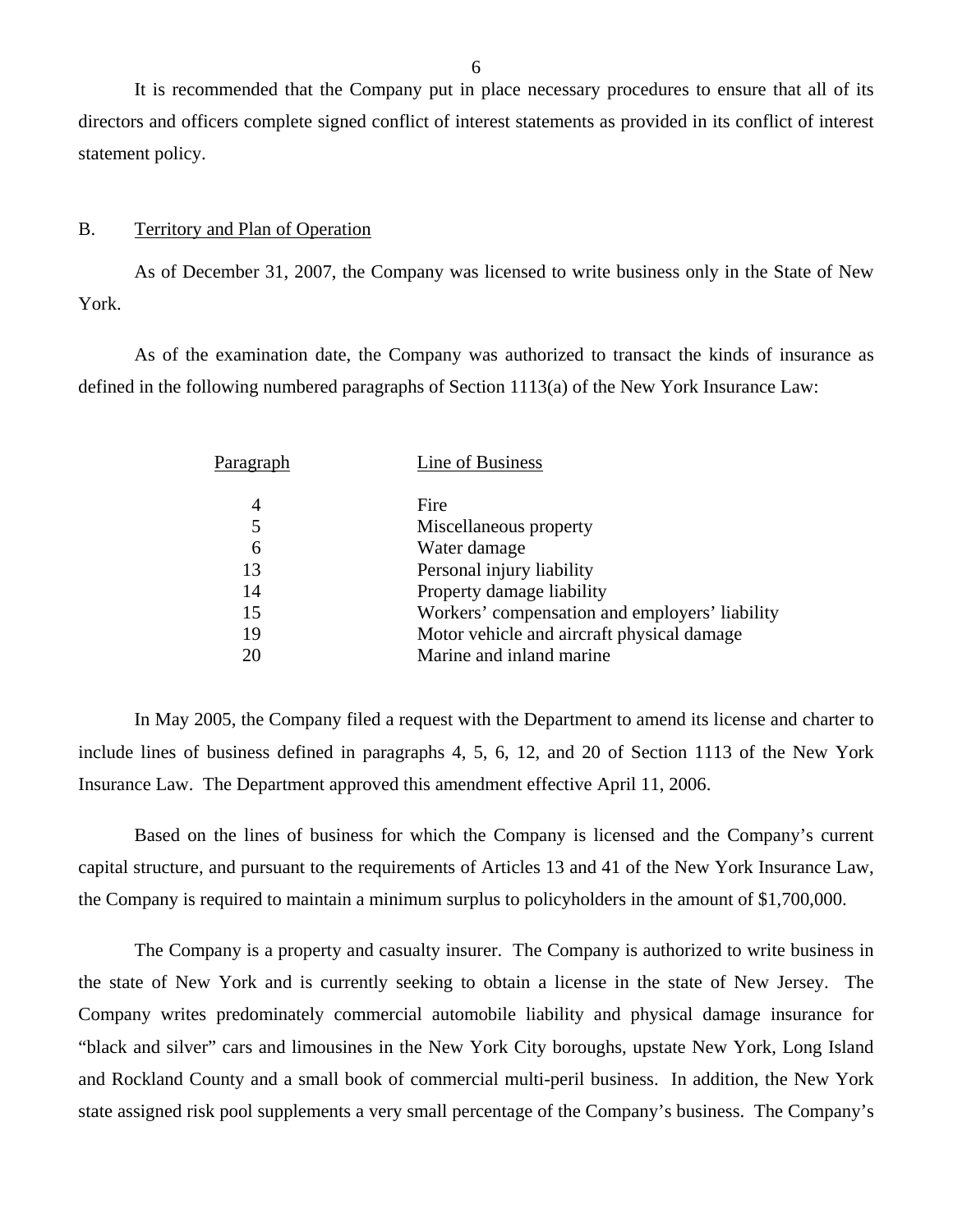It is recommended that the Company put in place necessary procedures to ensure that all of its directors and officers complete signed conflict of interest statements as provided in its conflict of interest statement policy.

#### B. Territory and Plan of Operation

York. As of December 31, 2007, the Company was licensed to write business only in the State of New

As of the examination date, the Company was authorized to transact the kinds of insurance as defined in the following numbered paragraphs of Section 1113(a) of the New York Insurance Law:

| Paragraph | Line of Business                               |
|-----------|------------------------------------------------|
| 4         | Fire                                           |
| 5         | Miscellaneous property                         |
| 6         | Water damage                                   |
| 13        | Personal injury liability                      |
| 14        | Property damage liability                      |
| 15        | Workers' compensation and employers' liability |
| 19        | Motor vehicle and aircraft physical damage     |
| 20        | Marine and inland marine                       |
|           |                                                |

In May 2005, the Company filed a request with the Department to amend its license and charter to include lines of business defined in paragraphs 4, 5, 6, 12, and 20 of Section 1113 of the New York Insurance Law. The Department approved this amendment effective April 11, 2006.

Based on the lines of business for which the Company is licensed and the Company's current capital structure, and pursuant to the requirements of Articles 13 and 41 of the New York Insurance Law, the Company is required to maintain a minimum surplus to policyholders in the amount of \$1,700,000.

The Company is a property and casualty insurer. The Company is authorized to write business in the state of New York and is currently seeking to obtain a license in the state of New Jersey. The Company writes predominately commercial automobile liability and physical damage insurance for "black and silver" cars and limousines in the New York City boroughs, upstate New York, Long Island and Rockland County and a small book of commercial multi-peril business. In addition, the New York state assigned risk pool supplements a very small percentage of the Company's business. The Company's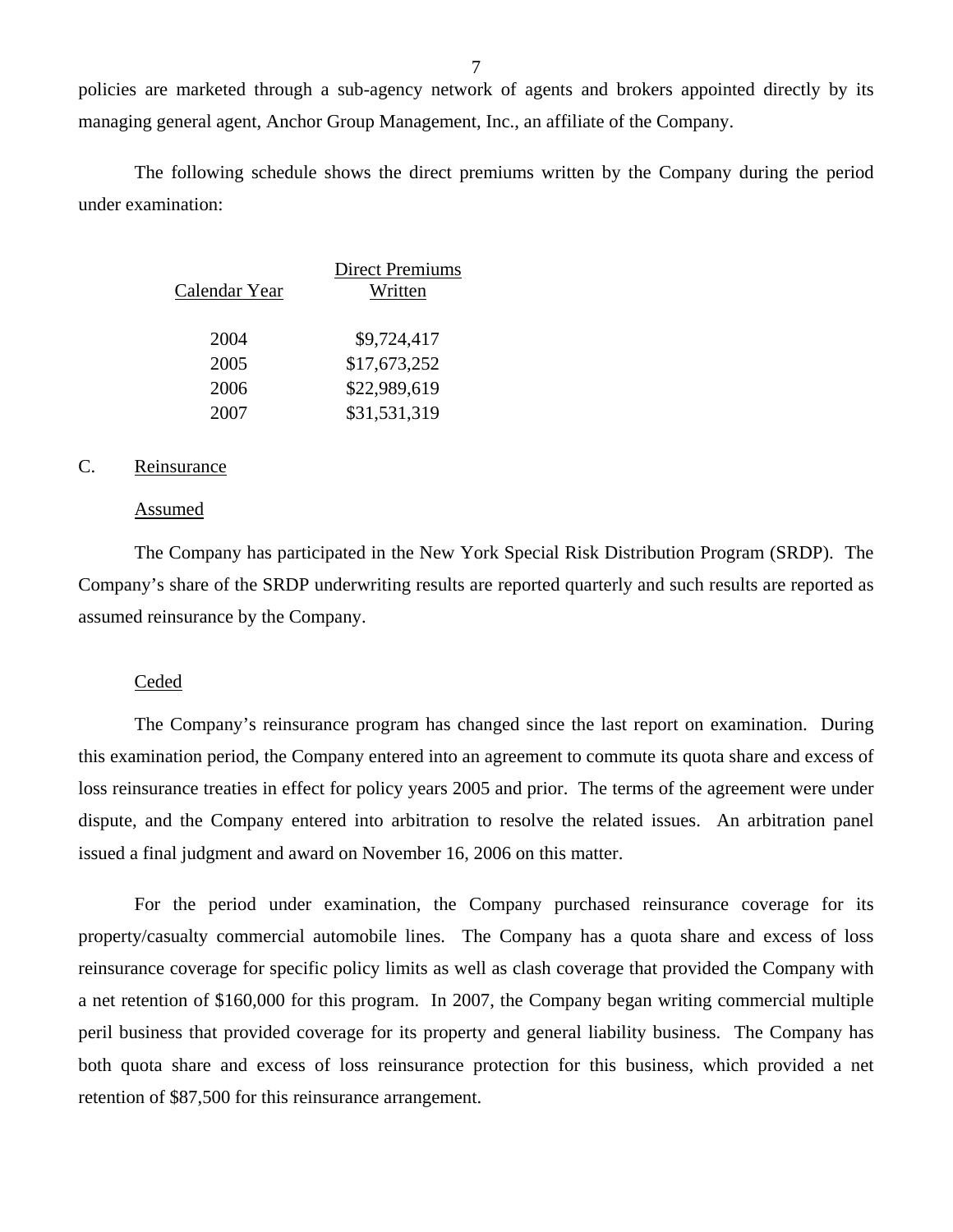policies are marketed through a sub-agency network of agents and brokers appointed directly by its managing general agent, Anchor Group Management, Inc., an affiliate of the Company.

The following schedule shows the direct premiums written by the Company during the period under examination:

| Calendar Year | <b>Direct Premiums</b><br>Written |
|---------------|-----------------------------------|
| 2004          | \$9,724,417                       |
| 2005          | \$17,673,252                      |
| 2006          | \$22,989,619                      |
| 2007          | \$31,531,319                      |

## C. Reinsurance

#### Assumed

The Company has participated in the New York Special Risk Distribution Program (SRDP). The Company's share of the SRDP underwriting results are reported quarterly and such results are reported as assumed reinsurance by the Company.

#### Ceded

The Company's reinsurance program has changed since the last report on examination. During this examination period, the Company entered into an agreement to commute its quota share and excess of loss reinsurance treaties in effect for policy years 2005 and prior. The terms of the agreement were under dispute, and the Company entered into arbitration to resolve the related issues. An arbitration panel issued a final judgment and award on November 16, 2006 on this matter.

For the period under examination, the Company purchased reinsurance coverage for its property/casualty commercial automobile lines. The Company has a quota share and excess of loss reinsurance coverage for specific policy limits as well as clash coverage that provided the Company with a net retention of \$160,000 for this program. In 2007, the Company began writing commercial multiple peril business that provided coverage for its property and general liability business. The Company has both quota share and excess of loss reinsurance protection for this business, which provided a net retention of \$87,500 for this reinsurance arrangement.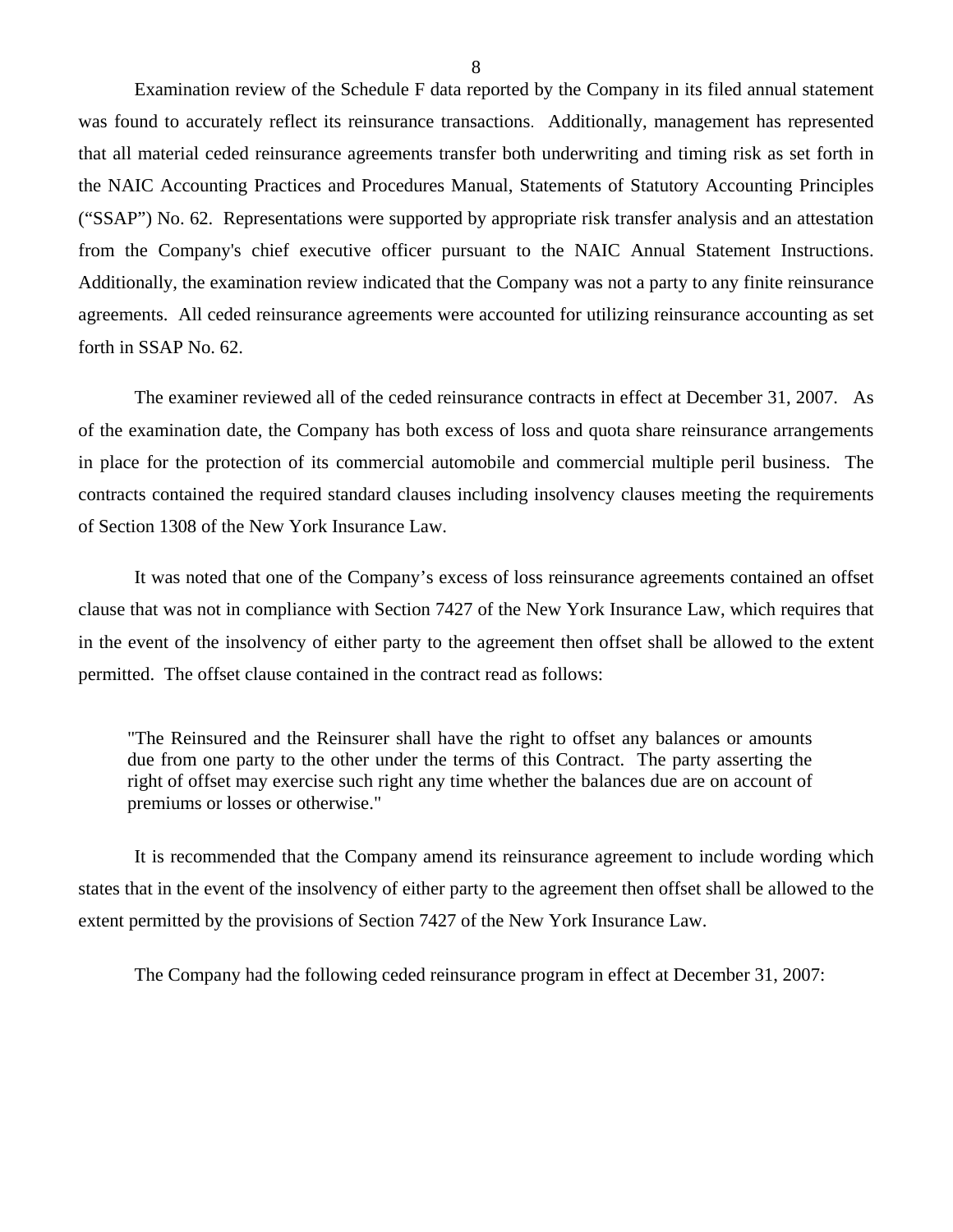Examination review of the Schedule F data reported by the Company in its filed annual statement was found to accurately reflect its reinsurance transactions. Additionally, management has represented that all material ceded reinsurance agreements transfer both underwriting and timing risk as set forth in the NAIC Accounting Practices and Procedures Manual, Statements of Statutory Accounting Principles ("SSAP") No. 62. Representations were supported by appropriate risk transfer analysis and an attestation from the Company's chief executive officer pursuant to the NAIC Annual Statement Instructions. Additionally, the examination review indicated that the Company was not a party to any finite reinsurance agreements. All ceded reinsurance agreements were accounted for utilizing reinsurance accounting as set forth in SSAP No. 62.

The examiner reviewed all of the ceded reinsurance contracts in effect at December 31, 2007. As of the examination date, the Company has both excess of loss and quota share reinsurance arrangements in place for the protection of its commercial automobile and commercial multiple peril business. The contracts contained the required standard clauses including insolvency clauses meeting the requirements of Section 1308 of the New York Insurance Law.

It was noted that one of the Company's excess of loss reinsurance agreements contained an offset clause that was not in compliance with Section 7427 of the New York Insurance Law, which requires that in the event of the insolvency of either party to the agreement then offset shall be allowed to the extent permitted. The offset clause contained in the contract read as follows:

"The Reinsured and the Reinsurer shall have the right to offset any balances or amounts due from one party to the other under the terms of this Contract. The party asserting the right of offset may exercise such right any time whether the balances due are on account of premiums or losses or otherwise."

It is recommended that the Company amend its reinsurance agreement to include wording which states that in the event of the insolvency of either party to the agreement then offset shall be allowed to the extent permitted by the provisions of Section 7427 of the New York Insurance Law.

The Company had the following ceded reinsurance program in effect at December 31, 2007: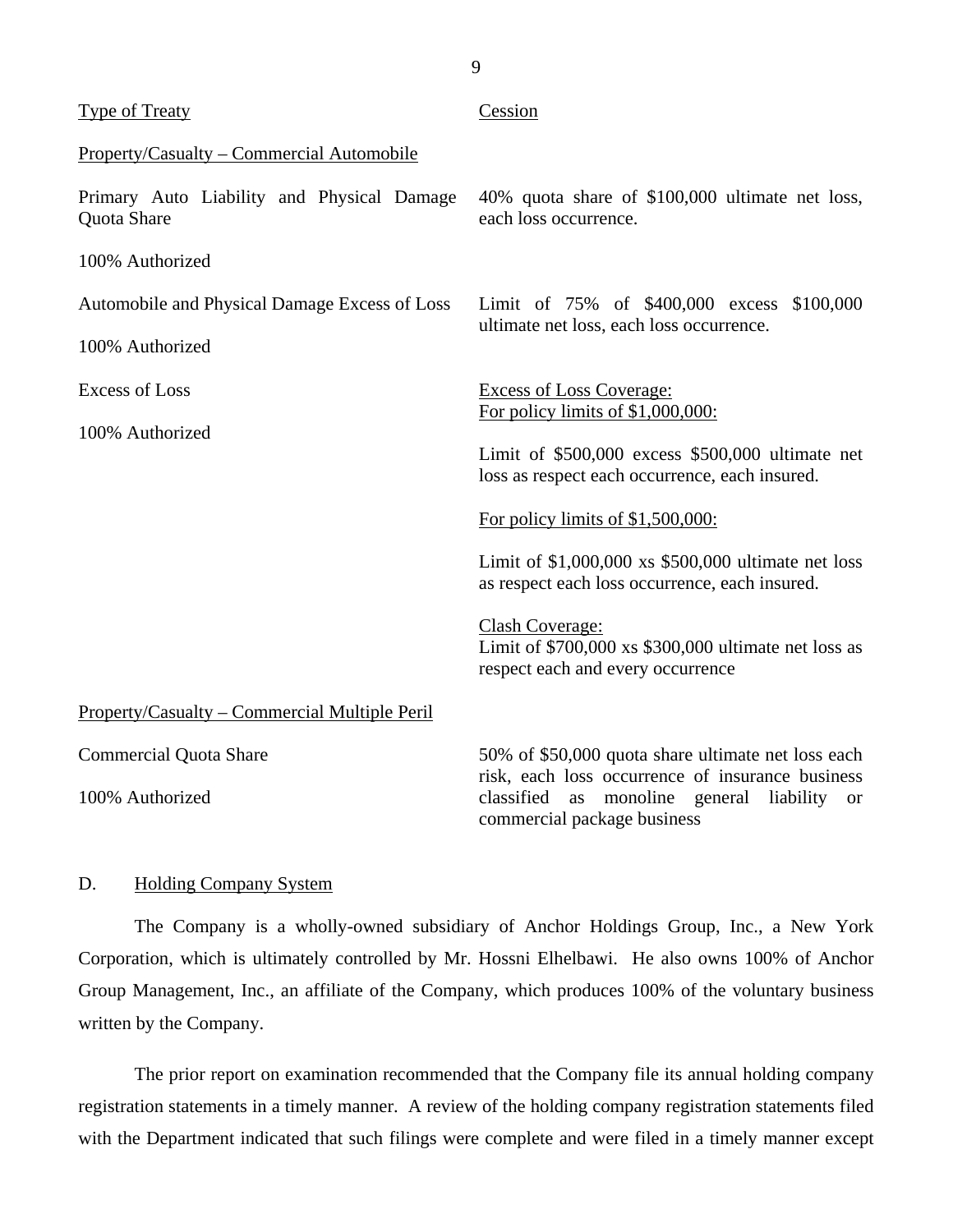<span id="page-10-0"></span>

| <b>Type of Treaty</b>                                     | Cession                                                                                                                                           |  |
|-----------------------------------------------------------|---------------------------------------------------------------------------------------------------------------------------------------------------|--|
| Property/Casualty – Commercial Automobile                 |                                                                                                                                                   |  |
| Primary Auto Liability and Physical Damage<br>Quota Share | 40% quota share of \$100,000 ultimate net loss,<br>each loss occurrence.                                                                          |  |
| 100% Authorized                                           |                                                                                                                                                   |  |
| Automobile and Physical Damage Excess of Loss             | Limit of 75% of \$400,000 excess \$100,000                                                                                                        |  |
| 100% Authorized                                           | ultimate net loss, each loss occurrence.                                                                                                          |  |
| <b>Excess of Loss</b>                                     | <b>Excess of Loss Coverage:</b>                                                                                                                   |  |
| 100% Authorized                                           | For policy limits of $$1,000,000$ :                                                                                                               |  |
|                                                           | Limit of \$500,000 excess \$500,000 ultimate net<br>loss as respect each occurrence, each insured.                                                |  |
|                                                           | For policy limits of $$1,500,000$ :                                                                                                               |  |
|                                                           | Limit of $$1,000,000$ xs $$500,000$ ultimate net loss<br>as respect each loss occurrence, each insured.                                           |  |
|                                                           | Clash Coverage:<br>Limit of $$700,000$ xs $$300,000$ ultimate net loss as<br>respect each and every occurrence                                    |  |
| Property/Casualty – Commercial Multiple Peril             |                                                                                                                                                   |  |
| <b>Commercial Quota Share</b>                             | 50% of \$50,000 quota share ultimate net loss each                                                                                                |  |
| 100% Authorized                                           | risk, each loss occurrence of insurance business<br>classified<br>monoline general<br>as<br>liability<br><b>or</b><br>commercial package business |  |

## D. Holding Company System

The Company is a wholly-owned subsidiary of Anchor Holdings Group, Inc., a New York Corporation, which is ultimately controlled by Mr. Hossni Elhelbawi. He also owns 100% of Anchor Group Management, Inc., an affiliate of the Company, which produces 100% of the voluntary business written by the Company.

The prior report on examination recommended that the Company file its annual holding company registration statements in a timely manner. A review of the holding company registration statements filed with the Department indicated that such filings were complete and were filed in a timely manner except

9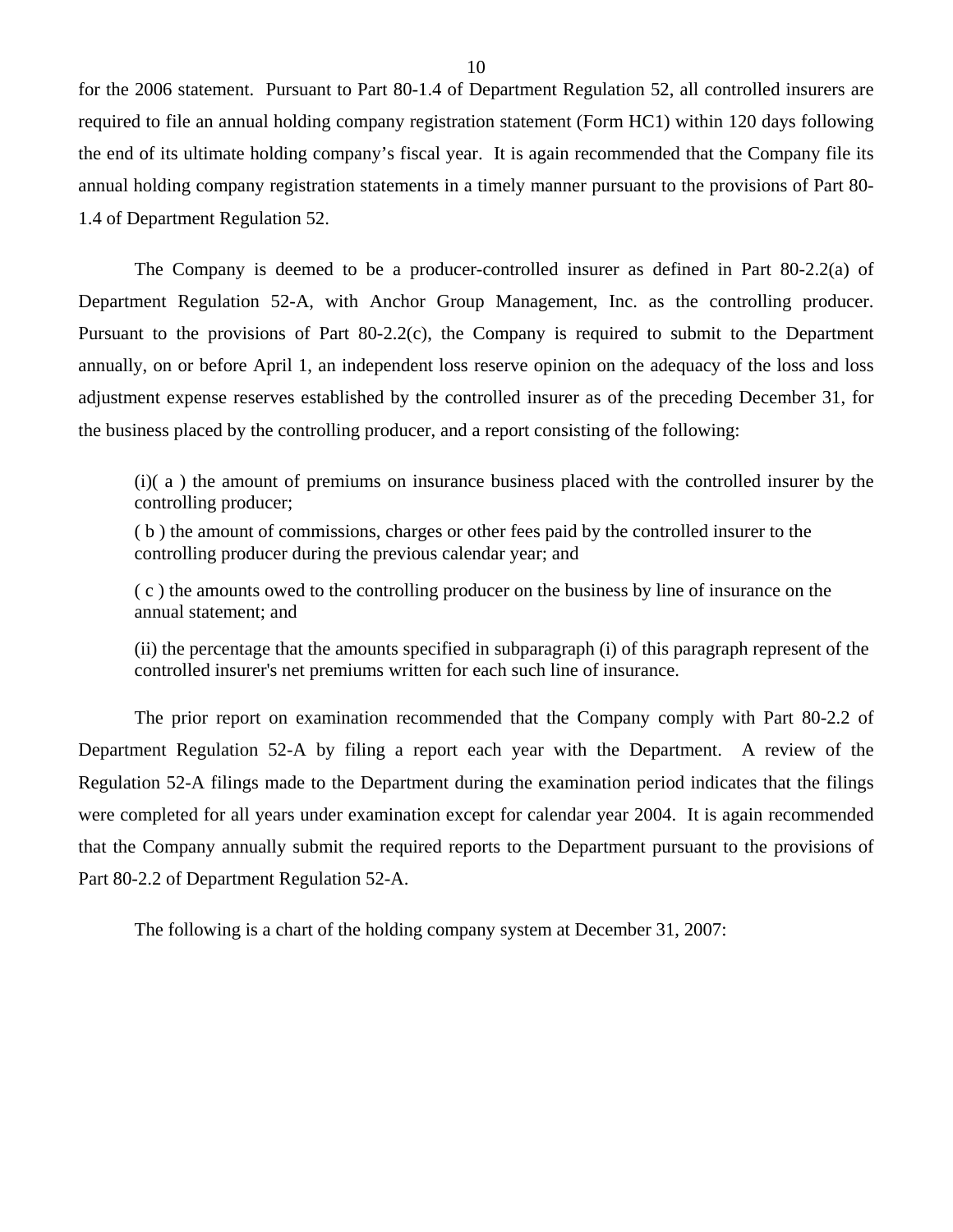for the 2006 statement. Pursuant to Part 80-1.4 of Department Regulation 52, all controlled insurers are required to file an annual holding company registration statement (Form HC1) within 120 days following the end of its ultimate holding company's fiscal year. It is again recommended that the Company file its annual holding company registration statements in a timely manner pursuant to the provisions of Part 80- 1.4 of Department Regulation 52.

The Company is deemed to be a producer-controlled insurer as defined in Part 80-2.2(a) of Department Regulation 52-A, with Anchor Group Management, Inc. as the controlling producer. Pursuant to the provisions of Part 80-2.2(c), the Company is required to submit to the Department annually, on or before April 1, an independent loss reserve opinion on the adequacy of the loss and loss adjustment expense reserves established by the controlled insurer as of the preceding December 31, for the business placed by the controlling producer, and a report consisting of the following:

(i)( a ) the amount of premiums on insurance business placed with the controlled insurer by the controlling producer;

( b ) the amount of commissions, charges or other fees paid by the controlled insurer to the controlling producer during the previous calendar year; and

( c ) the amounts owed to the controlling producer on the business by line of insurance on the annual statement; and

(ii) the percentage that the amounts specified in subparagraph (i) of this paragraph represent of the controlled insurer's net premiums written for each such line of insurance.

The prior report on examination recommended that the Company comply with Part 80-2.2 of Department Regulation 52-A by filing a report each year with the Department. A review of the Regulation 52-A filings made to the Department during the examination period indicates that the filings were completed for all years under examination except for calendar year 2004. It is again recommended that the Company annually submit the required reports to the Department pursuant to the provisions of Part 80-2.2 of Department Regulation 52-A.

The following is a chart of the holding company system at December 31, 2007: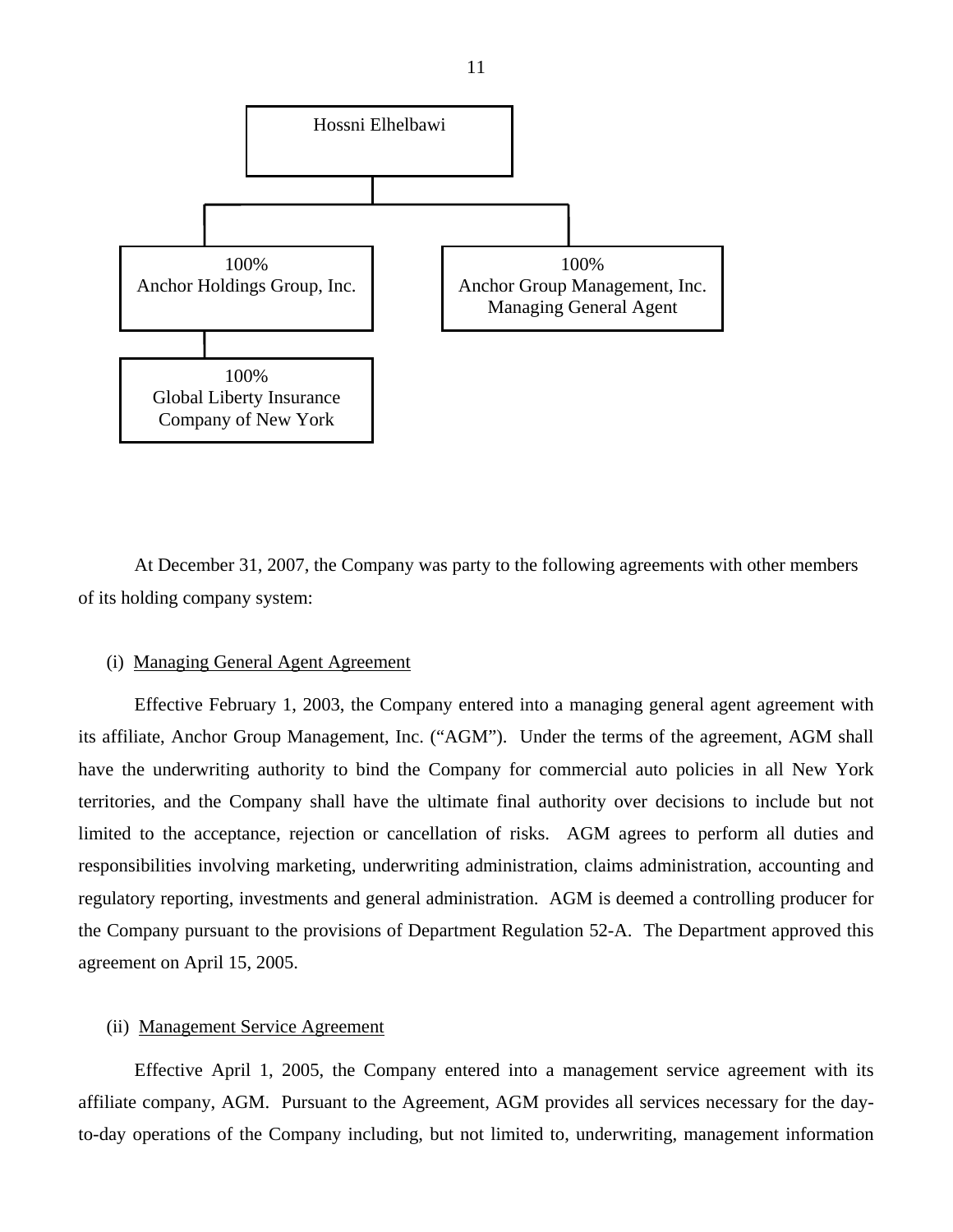

At December 31, 2007, the Company was party to the following agreements with other members of its holding company system:

## (i) Managing General Agent Agreement

Effective February 1, 2003, the Company entered into a managing general agent agreement with its affiliate, Anchor Group Management, Inc. ("AGM"). Under the terms of the agreement, AGM shall have the underwriting authority to bind the Company for commercial auto policies in all New York territories, and the Company shall have the ultimate final authority over decisions to include but not limited to the acceptance, rejection or cancellation of risks. AGM agrees to perform all duties and responsibilities involving marketing, underwriting administration, claims administration, accounting and regulatory reporting, investments and general administration. AGM is deemed a controlling producer for the Company pursuant to the provisions of Department Regulation 52-A. The Department approved this agreement on April 15, 2005.

### (ii) Management Service Agreement

Effective April 1, 2005, the Company entered into a management service agreement with its affiliate company, AGM. Pursuant to the Agreement, AGM provides all services necessary for the dayto-day operations of the Company including, but not limited to, underwriting, management information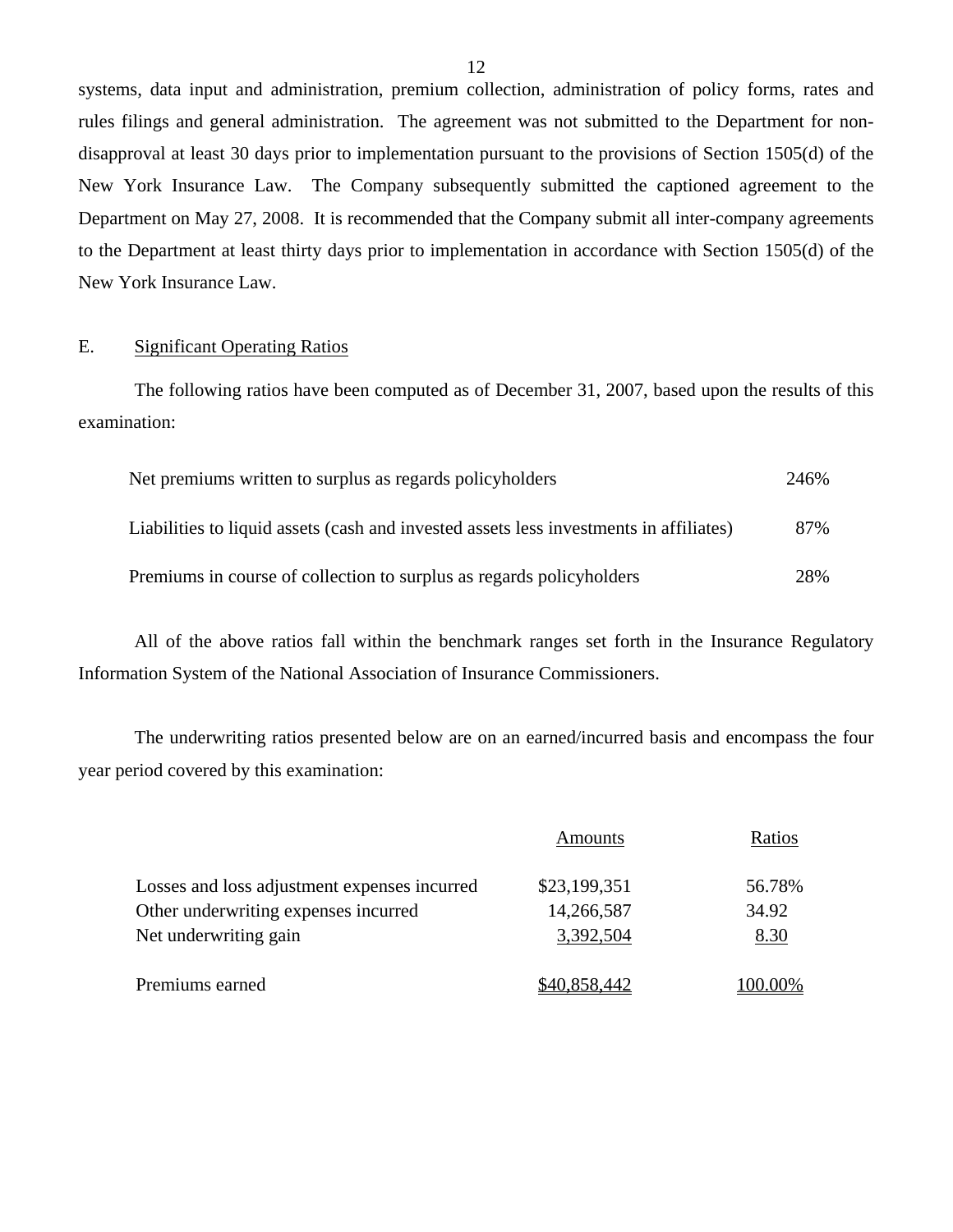systems, data input and administration, premium collection, administration of policy forms, rates and rules filings and general administration. The agreement was not submitted to the Department for nondisapproval at least 30 days prior to implementation pursuant to the provisions of Section 1505(d) of the New York Insurance Law. The Company subsequently submitted the captioned agreement to the Department on May 27, 2008. It is recommended that the Company submit all inter-company agreements to the Department at least thirty days prior to implementation in accordance with Section 1505(d) of the New York Insurance Law.

## E. Significant Operating Ratios

The following ratios have been computed as of December 31, 2007, based upon the results of this examination:

| Net premiums written to surplus as regards policyholders                               | 246% |
|----------------------------------------------------------------------------------------|------|
| Liabilities to liquid assets (cash and invested assets less investments in affiliates) | 87%  |
| Premiums in course of collection to surplus as regards policyholders                   | 28%  |

All of the above ratios fall within the benchmark ranges set forth in the Insurance Regulatory Information System of the National Association of Insurance Commissioners.

The underwriting ratios presented below are on an earned/incurred basis and encompass the four year period covered by this examination:

|                                              | Amounts      | Ratios  |
|----------------------------------------------|--------------|---------|
| Losses and loss adjustment expenses incurred | \$23,199,351 | 56.78%  |
| Other underwriting expenses incurred         | 14,266,587   | 34.92   |
| Net underwriting gain                        | 3,392,504    | 8.30    |
| Premiums earned                              | \$40,858,442 | 100.00% |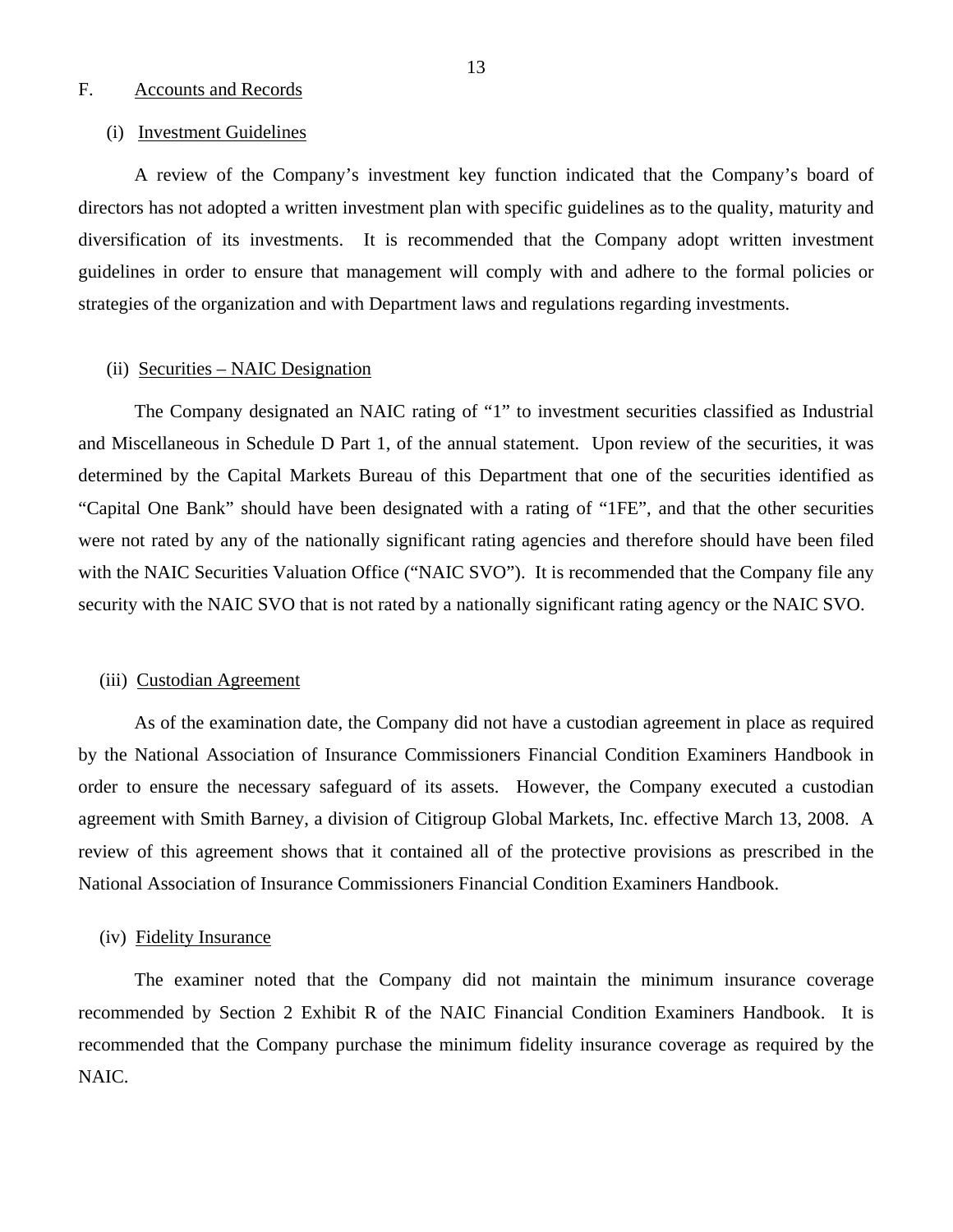## <span id="page-14-0"></span>F. Accounts and Records

### (i) Investment Guidelines

A review of the Company's investment key function indicated that the Company's board of directors has not adopted a written investment plan with specific guidelines as to the quality, maturity and diversification of its investments. It is recommended that the Company adopt written investment guidelines in order to ensure that management will comply with and adhere to the formal policies or strategies of the organization and with Department laws and regulations regarding investments.

## (ii) Securities – NAIC Designation

The Company designated an NAIC rating of "1" to investment securities classified as Industrial and Miscellaneous in Schedule D Part 1, of the annual statement. Upon review of the securities, it was determined by the Capital Markets Bureau of this Department that one of the securities identified as "Capital One Bank" should have been designated with a rating of "1FE", and that the other securities were not rated by any of the nationally significant rating agencies and therefore should have been filed with the NAIC Securities Valuation Office ("NAIC SVO"). It is recommended that the Company file any security with the NAIC SVO that is not rated by a nationally significant rating agency or the NAIC SVO.

## (iii) Custodian Agreement

As of the examination date, the Company did not have a custodian agreement in place as required by the National Association of Insurance Commissioners Financial Condition Examiners Handbook in order to ensure the necessary safeguard of its assets. However, the Company executed a custodian agreement with Smith Barney, a division of Citigroup Global Markets, Inc. effective March 13, 2008. A review of this agreement shows that it contained all of the protective provisions as prescribed in the National Association of Insurance Commissioners Financial Condition Examiners Handbook.

## (iv) Fidelity Insurance

The examiner noted that the Company did not maintain the minimum insurance coverage recommended by Section 2 Exhibit R of the NAIC Financial Condition Examiners Handbook. It is recommended that the Company purchase the minimum fidelity insurance coverage as required by the NAIC.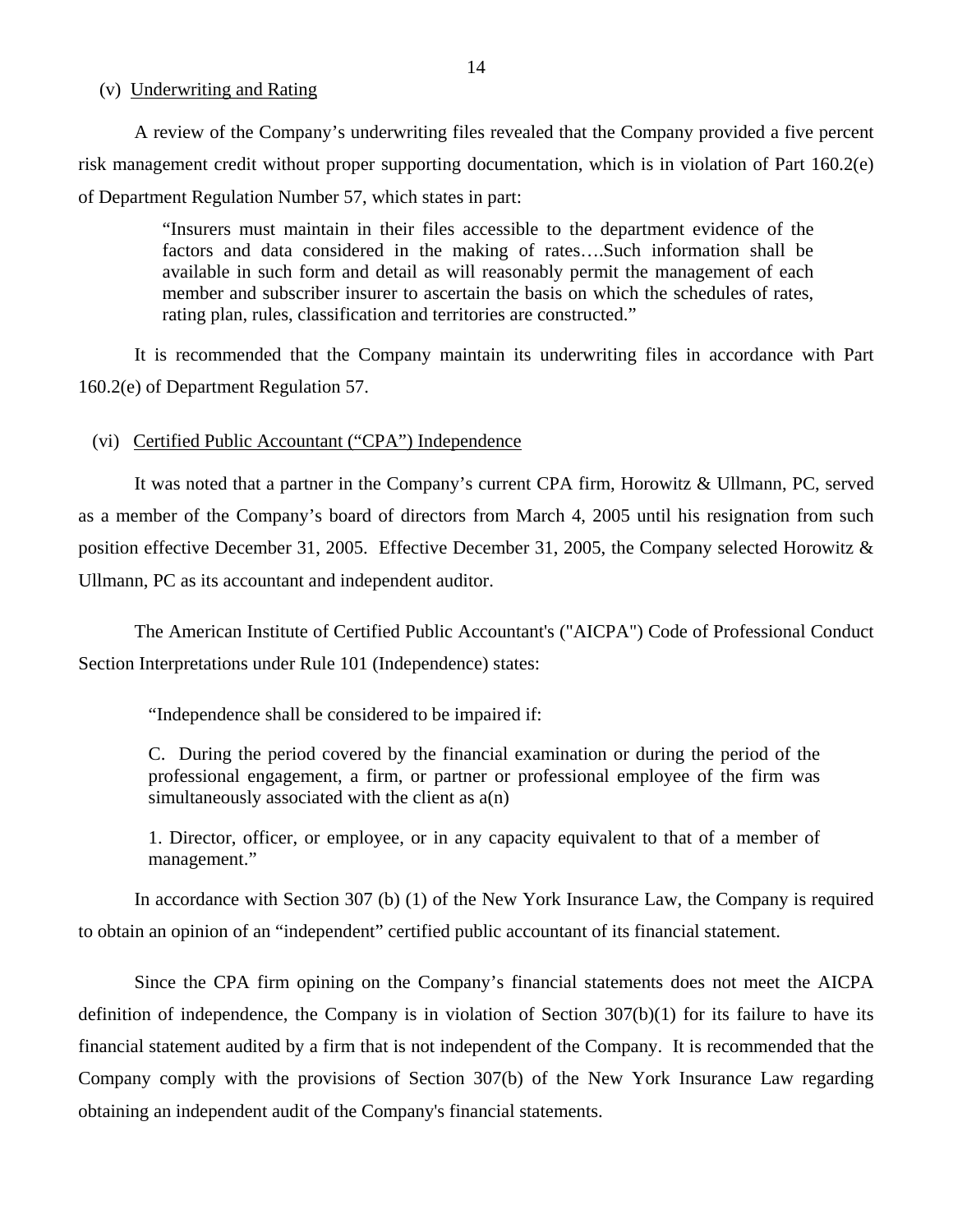## (v) Underwriting and Rating

A review of the Company's underwriting files revealed that the Company provided a five percent risk management credit without proper supporting documentation, which is in violation of Part 160.2(e) of Department Regulation Number 57, which states in part:

> "Insurers must maintain in their files accessible to the department evidence of the factors and data considered in the making of rates….Such information shall be available in such form and detail as will reasonably permit the management of each member and subscriber insurer to ascertain the basis on which the schedules of rates, rating plan, rules, classification and territories are constructed."

It is recommended that the Company maintain its underwriting files in accordance with Part 160.2(e) of Department Regulation 57.

### (vi) Certified Public Accountant ("CPA") Independence

It was noted that a partner in the Company's current CPA firm, Horowitz & Ullmann, PC, served as a member of the Company's board of directors from March 4, 2005 until his resignation from such position effective December 31, 2005. Effective December 31, 2005, the Company selected Horowitz & Ullmann, PC as its accountant and independent auditor.

The American Institute of Certified Public Accountant's ("AICPA") Code of Professional Conduct Section Interpretations under Rule 101 (Independence) states:

"Independence shall be considered to be impaired if:

C. During the period covered by the financial examination or during the period of the professional engagement, a firm, or partner or professional employee of the firm was simultaneously associated with the client as a(n)

1. Director, officer, or employee, or in any capacity equivalent to that of a member of management."

In accordance with Section 307 (b) (1) of the New York Insurance Law, the Company is required to obtain an opinion of an "independent" certified public accountant of its financial statement.

Since the CPA firm opining on the Company's financial statements does not meet the AICPA definition of independence, the Company is in violation of Section 307(b)(1) for its failure to have its financial statement audited by a firm that is not independent of the Company. It is recommended that the Company comply with the provisions of Section 307(b) of the New York Insurance Law regarding obtaining an independent audit of the Company's financial statements.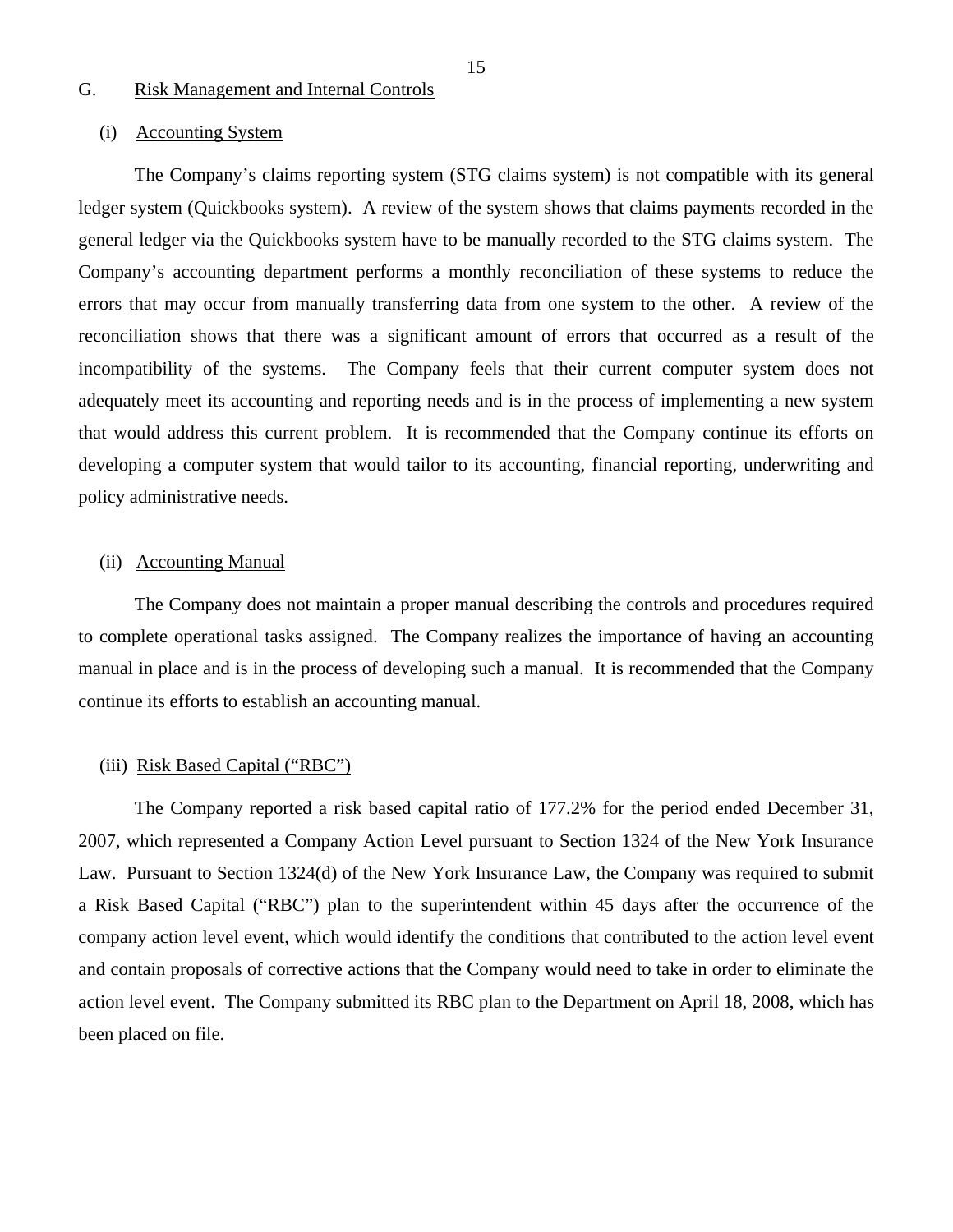## <span id="page-16-0"></span>G. Risk Management and Internal Controls

## (i) Accounting System

The Company's claims reporting system (STG claims system) is not compatible with its general ledger system (Quickbooks system). A review of the system shows that claims payments recorded in the general ledger via the Quickbooks system have to be manually recorded to the STG claims system. The Company's accounting department performs a monthly reconciliation of these systems to reduce the errors that may occur from manually transferring data from one system to the other. A review of the reconciliation shows that there was a significant amount of errors that occurred as a result of the incompatibility of the systems. The Company feels that their current computer system does not adequately meet its accounting and reporting needs and is in the process of implementing a new system that would address this current problem. It is recommended that the Company continue its efforts on developing a computer system that would tailor to its accounting, financial reporting, underwriting and policy administrative needs.

#### (ii) Accounting Manual

The Company does not maintain a proper manual describing the controls and procedures required to complete operational tasks assigned. The Company realizes the importance of having an accounting manual in place and is in the process of developing such a manual. It is recommended that the Company continue its efforts to establish an accounting manual.

#### (iii) Risk Based Capital ("RBC")

The Company reported a risk based capital ratio of 177.2% for the period ended December 31, 2007, which represented a Company Action Level pursuant to Section 1324 of the New York Insurance Law. Pursuant to Section 1324(d) of the New York Insurance Law, the Company was required to submit a Risk Based Capital ("RBC") plan to the superintendent within 45 days after the occurrence of the company action level event, which would identify the conditions that contributed to the action level event and contain proposals of corrective actions that the Company would need to take in order to eliminate the action level event. The Company submitted its RBC plan to the Department on April 18, 2008, which has been placed on file.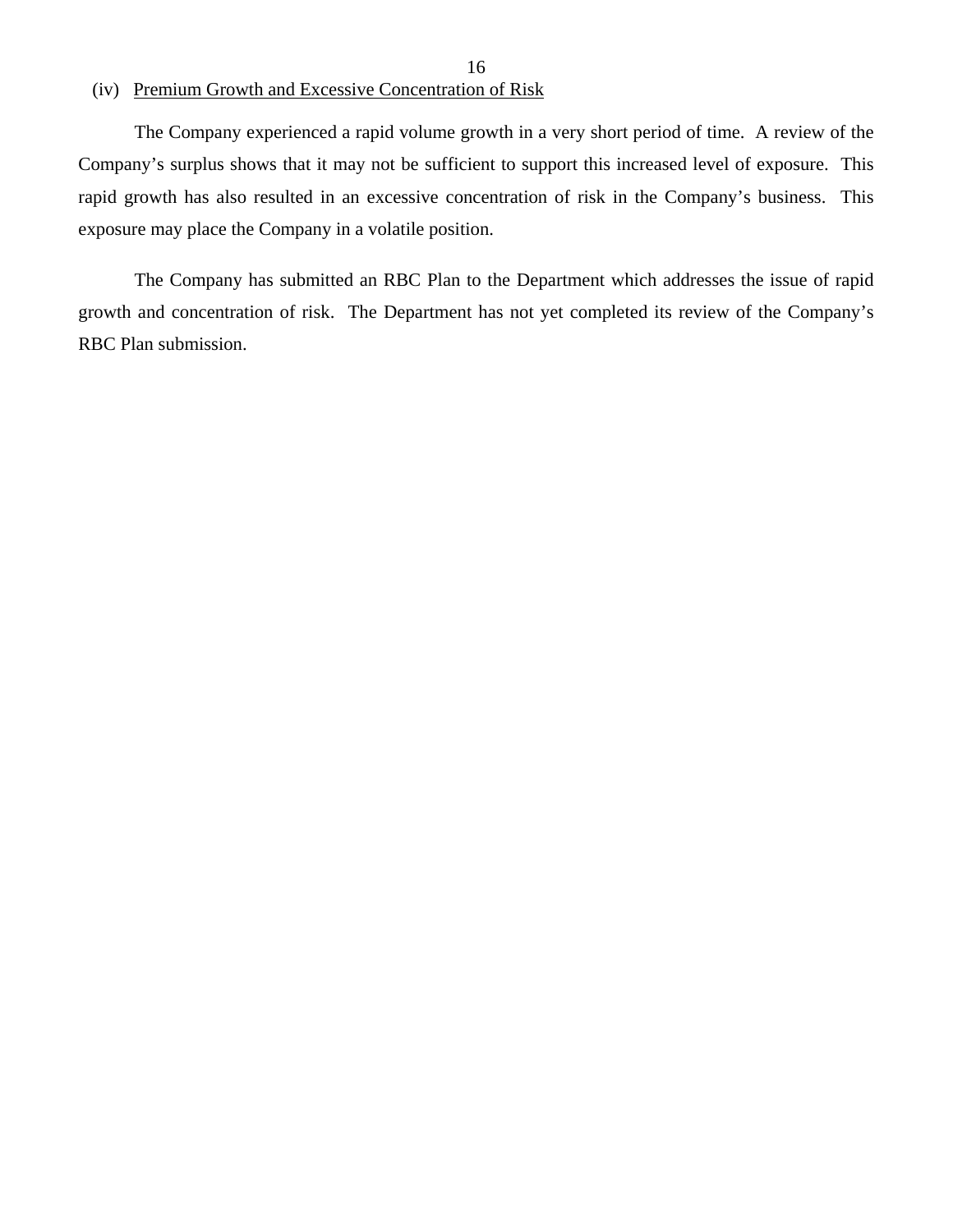## (iv) Premium Growth and Excessive Concentration of Risk

The Company experienced a rapid volume growth in a very short period of time. A review of the Company's surplus shows that it may not be sufficient to support this increased level of exposure. This rapid growth has also resulted in an excessive concentration of risk in the Company's business. This exposure may place the Company in a volatile position.

16

The Company has submitted an RBC Plan to the Department which addresses the issue of rapid growth and concentration of risk. The Department has not yet completed its review of the Company's RBC Plan submission.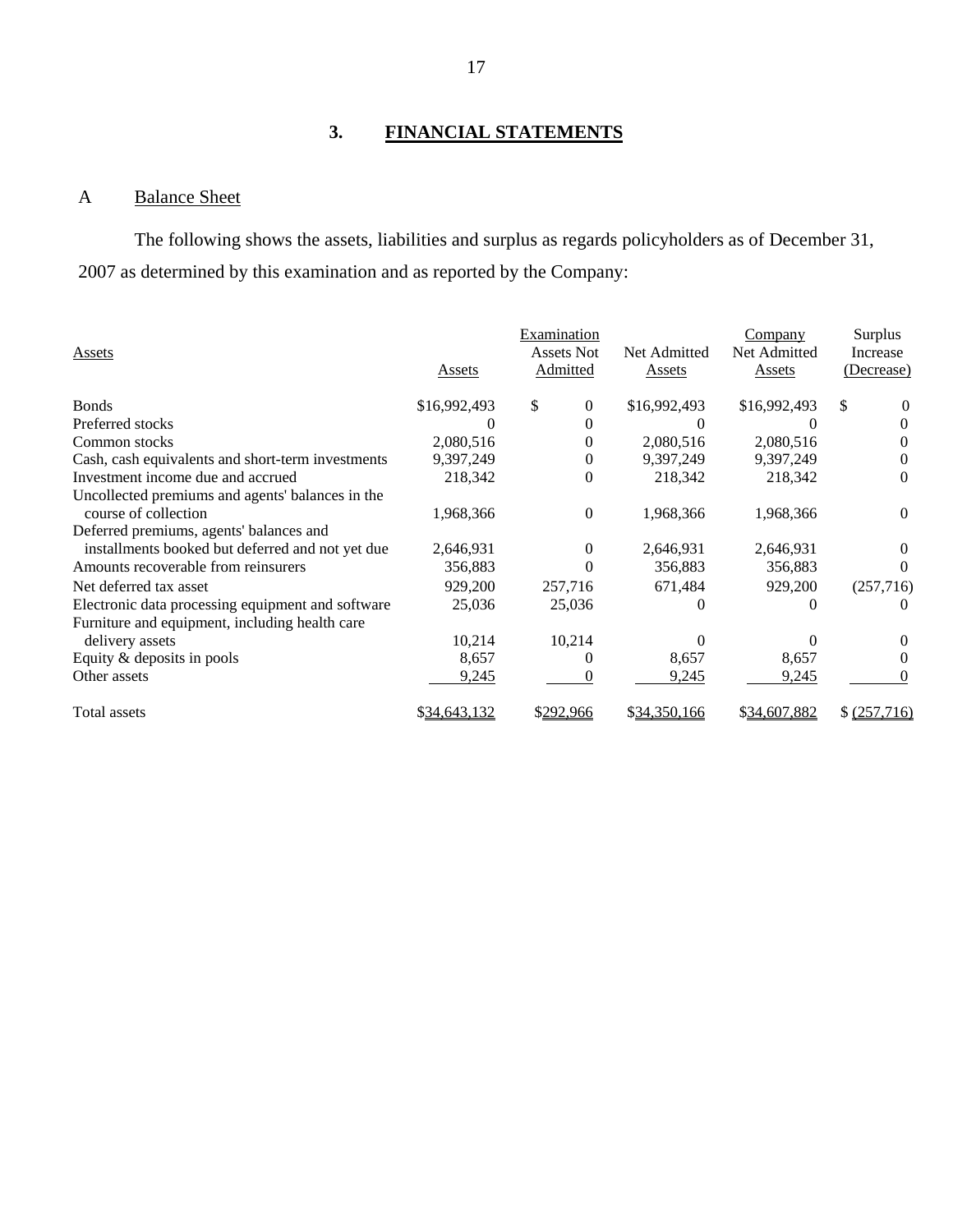## **3. FINANCIAL STATEMENTS**

## A Balance Sheet

The following shows the assets, liabilities and surplus as regards policyholders as of December 31, 2007 as determined by this examination and as reported by the Company:

|                                                   |              | Examination       |              | Company      | Surplus        |
|---------------------------------------------------|--------------|-------------------|--------------|--------------|----------------|
| Assets                                            |              | <b>Assets Not</b> | Net Admitted | Net Admitted | Increase       |
|                                                   | Assets       | Admitted          | Assets       | Assets       | (Decrease)     |
| <b>Bonds</b>                                      | \$16,992,493 | \$<br>$\Omega$    | \$16,992,493 | \$16,992,493 | \$<br>$\theta$ |
| Preferred stocks                                  |              |                   |              |              | $\Omega$       |
| Common stocks                                     | 2,080,516    | 0                 | 2,080,516    | 2,080,516    |                |
| Cash, cash equivalents and short-term investments | 9,397,249    | 0                 | 9,397,249    | 9,397,249    | 0              |
| Investment income due and accrued                 | 218,342      | 0                 | 218,342      | 218,342      | 0              |
| Uncollected premiums and agents' balances in the  |              |                   |              |              |                |
| course of collection                              | 1,968,366    | $\Omega$          | 1,968,366    | 1,968,366    | $\theta$       |
| Deferred premiums, agents' balances and           |              |                   |              |              |                |
| installments booked but deferred and not yet due  | 2,646,931    | $\Omega$          | 2,646,931    | 2,646,931    | $\Omega$       |
| Amounts recoverable from reinsurers               | 356,883      |                   | 356,883      | 356,883      | $\mathbf{0}$   |
| Net deferred tax asset                            | 929,200      | 257,716           | 671,484      | 929,200      | (257,716)      |
| Electronic data processing equipment and software | 25,036       | 25,036            | $\theta$     |              |                |
| Furniture and equipment, including health care    |              |                   |              |              |                |
| delivery assets                                   | 10,214       | 10,214            |              |              |                |
| Equity & deposits in pools                        | 8,657        |                   | 8,657        | 8,657        |                |
| Other assets                                      | 9,245        |                   | 9,245        | 9,245        |                |
| Total assets                                      | \$34,643,132 | \$292,966         | \$34,350,166 | \$34,607,882 | \$ (257,716)   |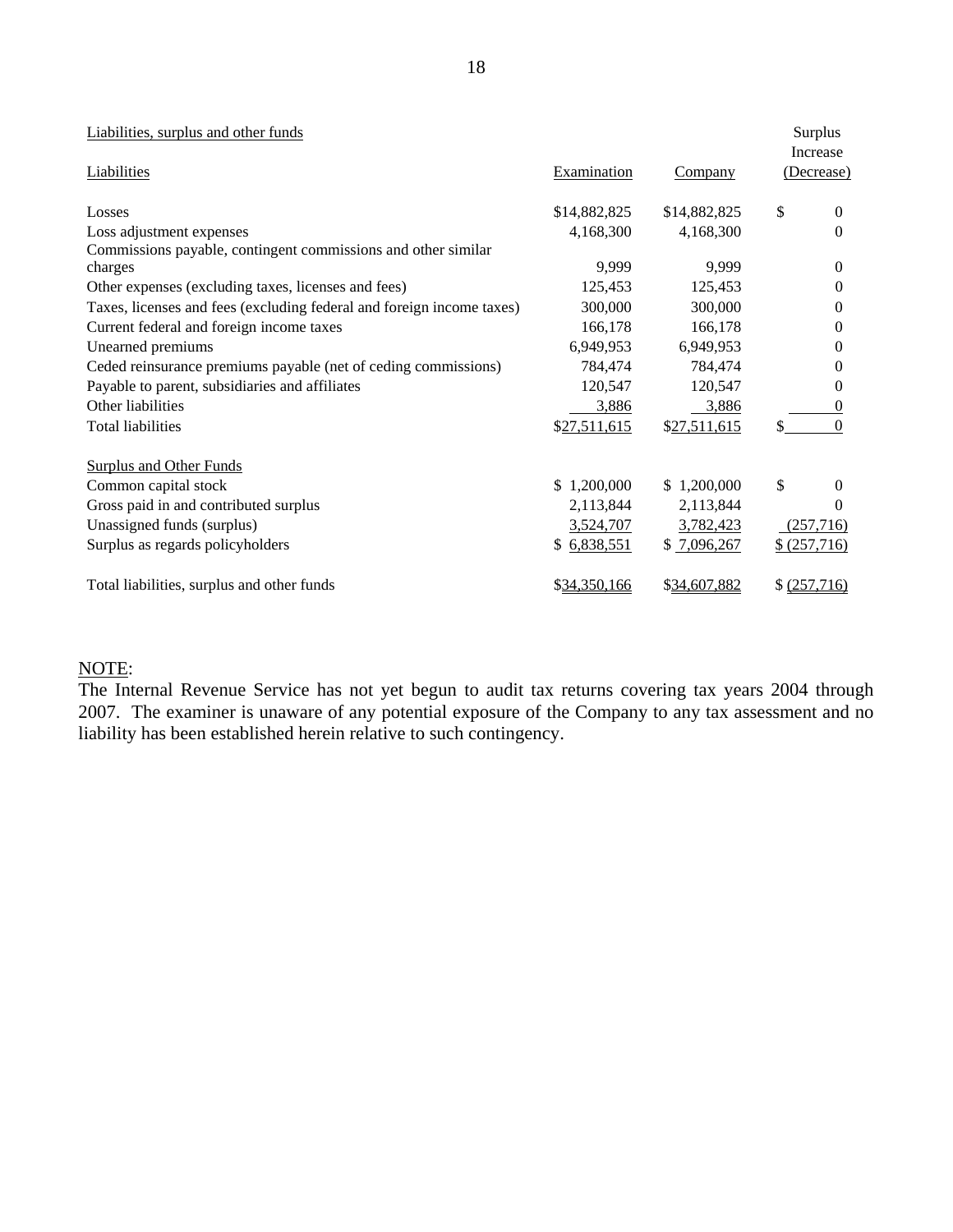| Liabilities, surplus and other funds                                  |                    |                |    | Surplus<br>Increase |
|-----------------------------------------------------------------------|--------------------|----------------|----|---------------------|
| Liabilities                                                           | <b>Examination</b> | <b>Company</b> |    | (Decrease)          |
| Losses                                                                | \$14,882,825       | \$14,882,825   | \$ | $\Omega$            |
| Loss adjustment expenses                                              | 4,168,300          | 4,168,300      |    | $\Omega$            |
| Commissions payable, contingent commissions and other similar         |                    |                |    |                     |
| charges                                                               | 9,999              | 9,999          |    | $\Omega$            |
| Other expenses (excluding taxes, licenses and fees)                   | 125,453            | 125,453        |    | $\Omega$            |
| Taxes, licenses and fees (excluding federal and foreign income taxes) | 300,000            | 300,000        |    | $\theta$            |
| Current federal and foreign income taxes                              | 166,178            | 166,178        |    | $\Omega$            |
| Unearned premiums                                                     | 6,949,953          | 6,949,953      |    | 0                   |
| Ceded reinsurance premiums payable (net of ceding commissions)        | 784,474            | 784,474        |    | $\Omega$            |
| Payable to parent, subsidiaries and affiliates                        | 120,547            | 120,547        |    | 0                   |
| Other liabilities                                                     | 3,886              | 3,886          |    | 0                   |
| Total liabilities                                                     | \$27,511,615       | \$27,511,615   | S. | $\theta$            |
| <b>Surplus and Other Funds</b>                                        |                    |                |    |                     |
| Common capital stock                                                  | \$1,200,000        | \$1,200,000    | \$ | $\Omega$            |
| Gross paid in and contributed surplus                                 | 2,113,844          | 2,113,844      |    | 0                   |
| Unassigned funds (surplus)                                            | 3,524,707          | 3,782,423      |    | (257,716)           |
| Surplus as regards policyholders                                      | \$6,838,551        | \$7,096,267    |    | \$ (257,716)        |
| Total liabilities, surplus and other funds                            | \$34,350,166       | \$34,607,882   |    | \$ (257,716)        |

## NOTE:

The Internal Revenue Service has not yet begun to audit tax returns covering tax years 2004 through 2007. The examiner is unaware of any potential exposure of the Company to any tax assessment and no liability has been established herein relative to such contingency.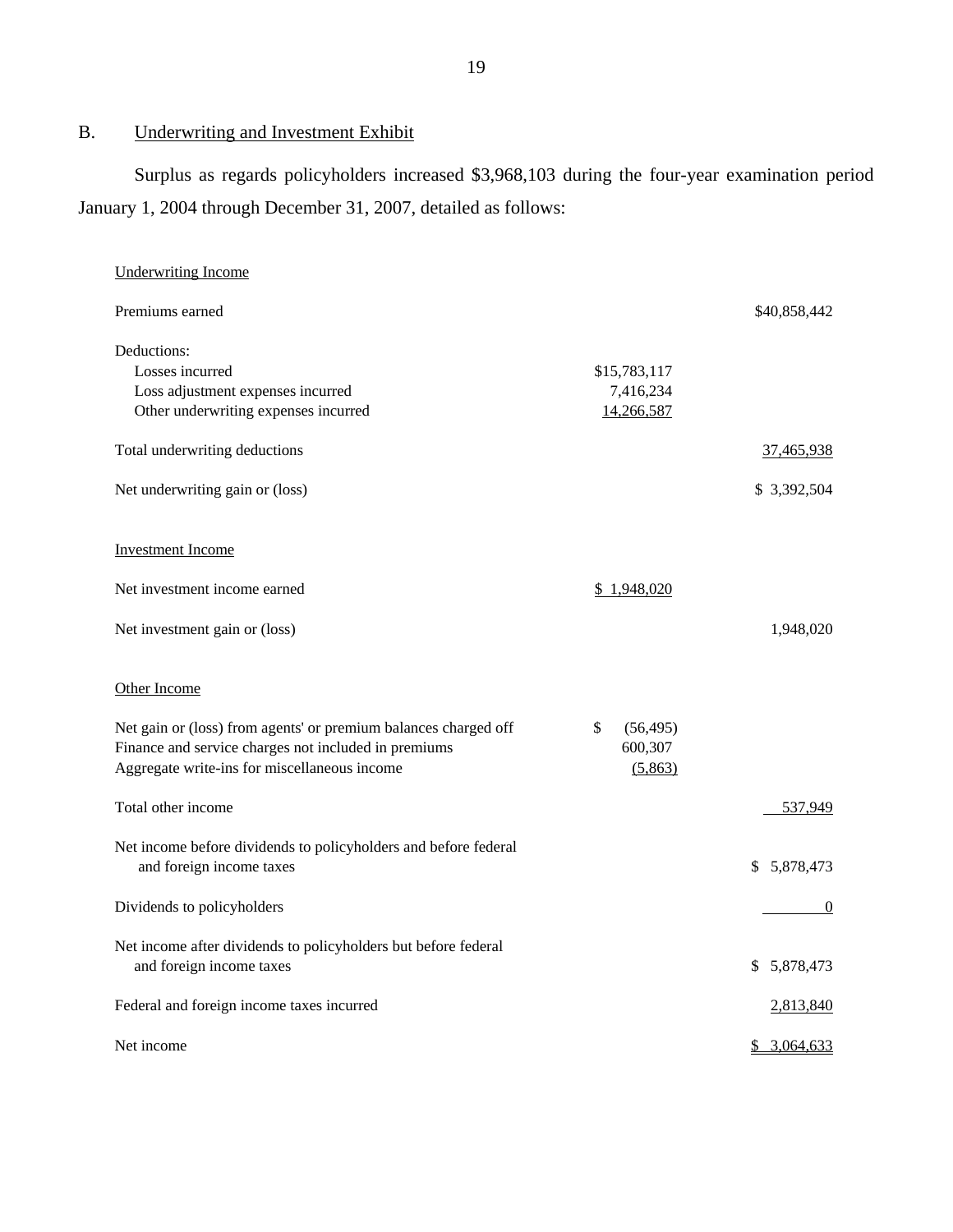# B. Underwriting and Investment Exhibit

Surplus as regards policyholders increased \$3,968,103 during the four-year examination period January 1, 2004 through December 31, 2007, detailed as follows:

| <b>Underwriting Income</b>                                                                           |                    |                 |
|------------------------------------------------------------------------------------------------------|--------------------|-----------------|
| Premiums earned                                                                                      |                    | \$40,858,442    |
| Deductions:                                                                                          |                    |                 |
| Losses incurred                                                                                      | \$15,783,117       |                 |
| Loss adjustment expenses incurred                                                                    | 7,416,234          |                 |
| Other underwriting expenses incurred                                                                 | 14,266,587         |                 |
| Total underwriting deductions                                                                        |                    | 37,465,938      |
| Net underwriting gain or (loss)                                                                      |                    | \$3,392,504     |
| <b>Investment Income</b>                                                                             |                    |                 |
| Net investment income earned                                                                         | \$1,948,020        |                 |
| Net investment gain or (loss)                                                                        |                    | 1,948,020       |
| Other Income                                                                                         |                    |                 |
| Net gain or (loss) from agents' or premium balances charged off                                      | \$<br>(56, 495)    |                 |
| Finance and service charges not included in premiums<br>Aggregate write-ins for miscellaneous income | 600,307<br>(5,863) |                 |
| Total other income                                                                                   |                    | 537,949         |
| Net income before dividends to policyholders and before federal                                      |                    |                 |
| and foreign income taxes                                                                             |                    | \$5,878,473     |
| Dividends to policyholders                                                                           |                    | $\theta$        |
| Net income after dividends to policyholders but before federal                                       |                    |                 |
| and foreign income taxes                                                                             |                    | 5,878,473<br>\$ |
| Federal and foreign income taxes incurred                                                            |                    | 2,813,840       |
| Net income                                                                                           |                    | \$3,064,633     |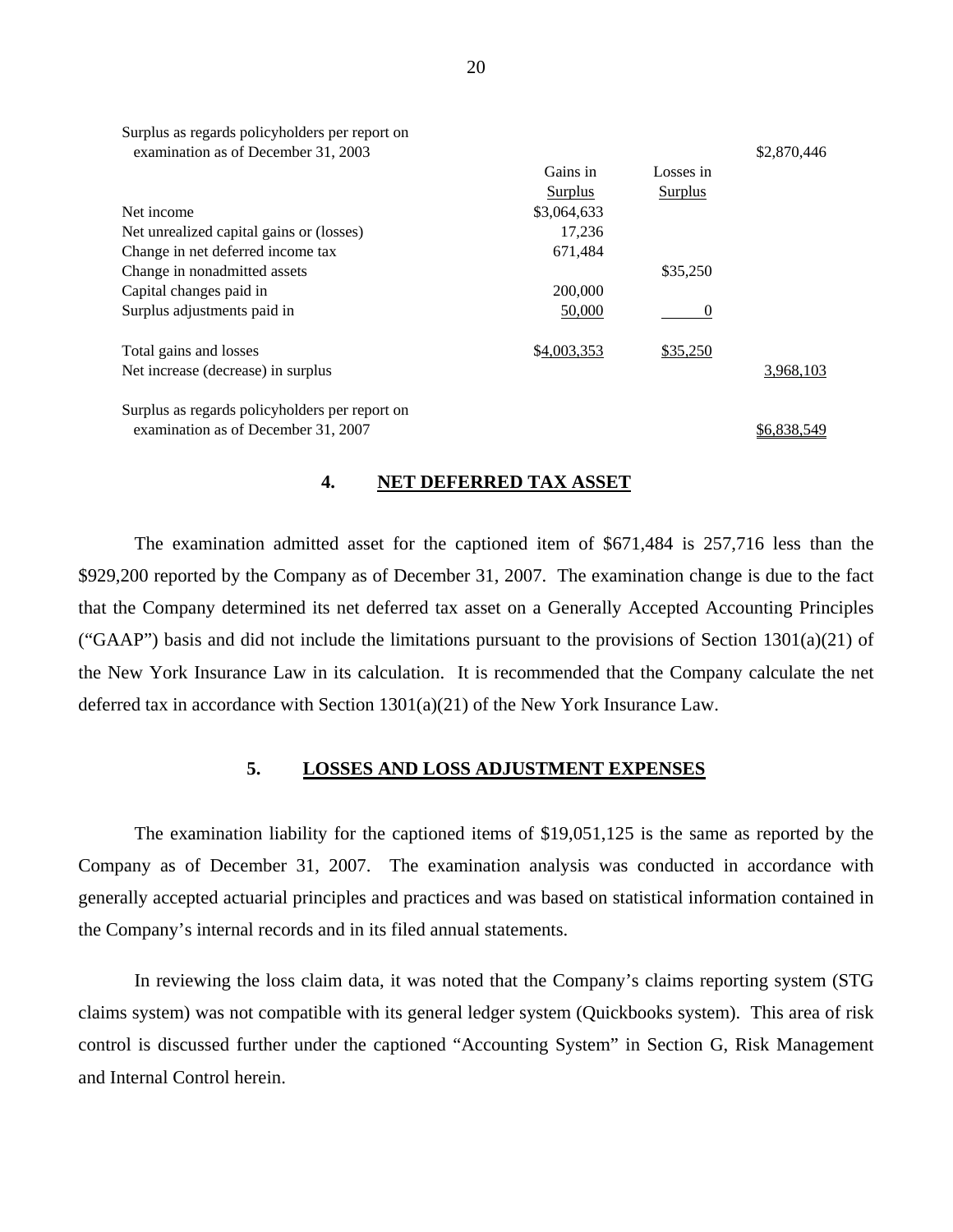| Surplus as regards policyholders per report on |                |                |             |
|------------------------------------------------|----------------|----------------|-------------|
| examination as of December 31, 2003            |                |                | \$2,870,446 |
|                                                | Gains in       | Losses in      |             |
|                                                | <b>Surplus</b> | <b>Surplus</b> |             |
| Net income                                     | \$3,064,633    |                |             |
| Net unrealized capital gains or (losses)       | 17,236         |                |             |
| Change in net deferred income tax              | 671,484        |                |             |
| Change in nonadmitted assets                   |                | \$35,250       |             |
| Capital changes paid in                        | 200,000        |                |             |
| Surplus adjustments paid in                    | 50,000         | $\theta$       |             |
| Total gains and losses                         | \$4,003,353    | \$35,250       |             |
| Net increase (decrease) in surplus             |                |                | 3,968,103   |
| Surplus as regards policyholders per report on |                |                |             |
| examination as of December 31, 2007            |                |                | \$6,838,549 |

#### **4. NET DEFERRED TAX ASSET**

The examination admitted asset for the captioned item of \$671,484 is 257,716 less than the \$929,200 reported by the Company as of December 31, 2007. The examination change is due to the fact that the Company determined its net deferred tax asset on a Generally Accepted Accounting Principles ("GAAP") basis and did not include the limitations pursuant to the provisions of Section  $1301(a)(21)$  of the New York Insurance Law in its calculation. It is recommended that the Company calculate the net deferred tax in accordance with Section 1301(a)(21) of the New York Insurance Law.

#### **5. LOSSES AND LOSS ADJUSTMENT EXPENSES**

The examination liability for the captioned items of \$19,051,125 is the same as reported by the Company as of December 31, 2007. The examination analysis was conducted in accordance with generally accepted actuarial principles and practices and was based on statistical information contained in the Company's internal records and in its filed annual statements.

In reviewing the loss claim data, it was noted that the Company's claims reporting system (STG claims system) was not compatible with its general ledger system (Quickbooks system). This area of risk control is discussed further under the captioned "Accounting System" in Section G, Risk Management and Internal Control herein.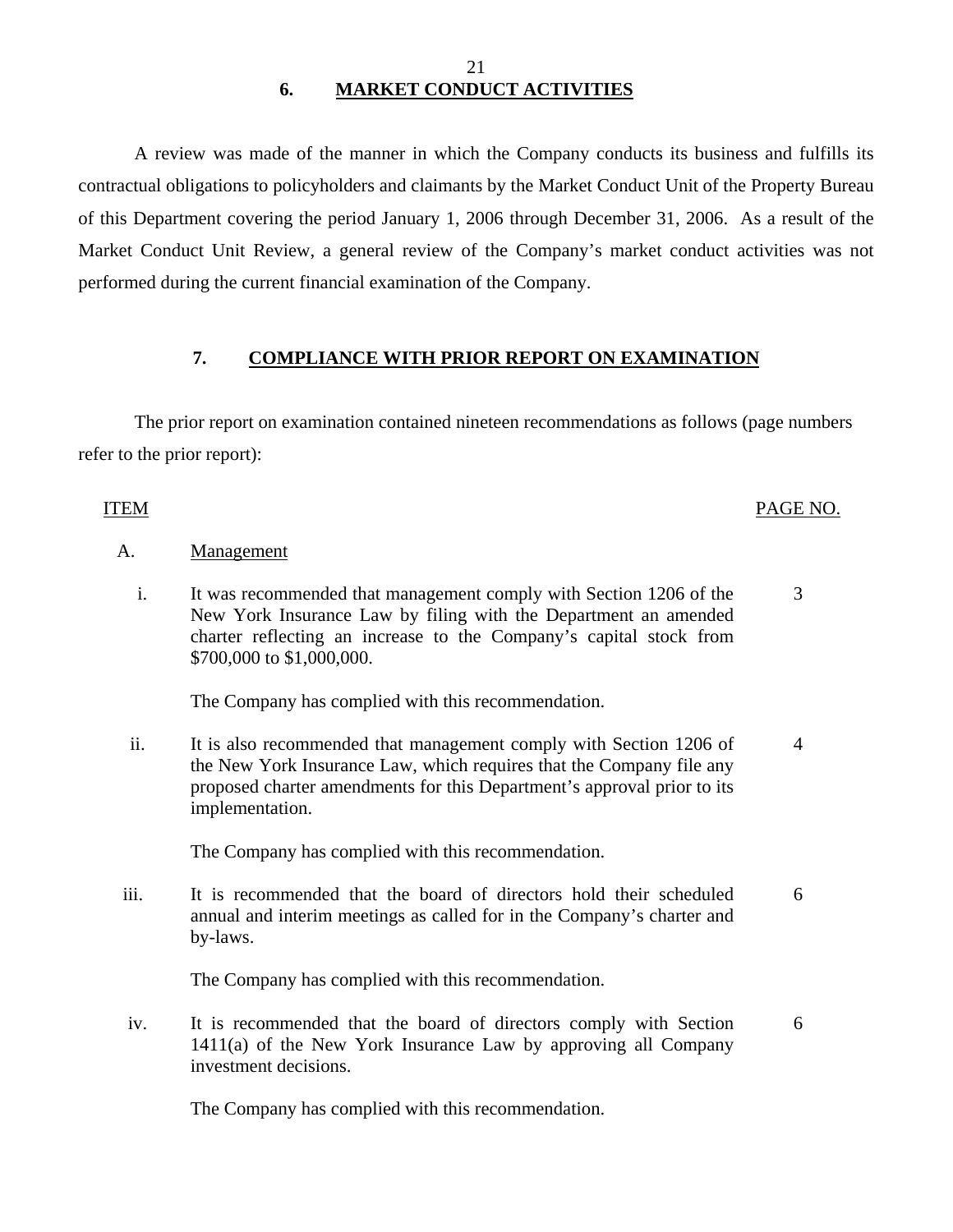## 21 **6. MARKET CONDUCT ACTIVITIES**

A review was made of the manner in which the Company conducts its business and fulfills its contractual obligations to policyholders and claimants by the Market Conduct Unit of the Property Bureau of this Department covering the period January 1, 2006 through December 31, 2006. As a result of the Market Conduct Unit Review, a general review of the Company's market conduct activities was not performed during the current financial examination of the Company.

## **7. COMPLIANCE WITH PRIOR REPORT ON EXAMINATION**

The prior report on examination contained nineteen recommendations as follows (page numbers refer to the prior report):

## ITEM PAGE NO.

## A. Management

 i. It was recommended that management comply with Section 1206 of the New York Insurance Law by filing with the Department an amended charter reflecting an increase to the Company's capital stock from \$700,000 to \$1,000,000. 3

The Company has complied with this recommendation.

ii. It is also recommended that management comply with Section 1206 of the New York Insurance Law, which requires that the Company file any proposed charter amendments for this Department's approval prior to its implementation. 4

The Company has complied with this recommendation.

iii. It is recommended that the board of directors hold their scheduled annual and interim meetings as called for in the Company's charter and by-laws. 6

The Company has complied with this recommendation.

iv. It is recommended that the board of directors comply with Section 1411(a) of the New York Insurance Law by approving all Company investment decisions. 6

The Company has complied with this recommendation.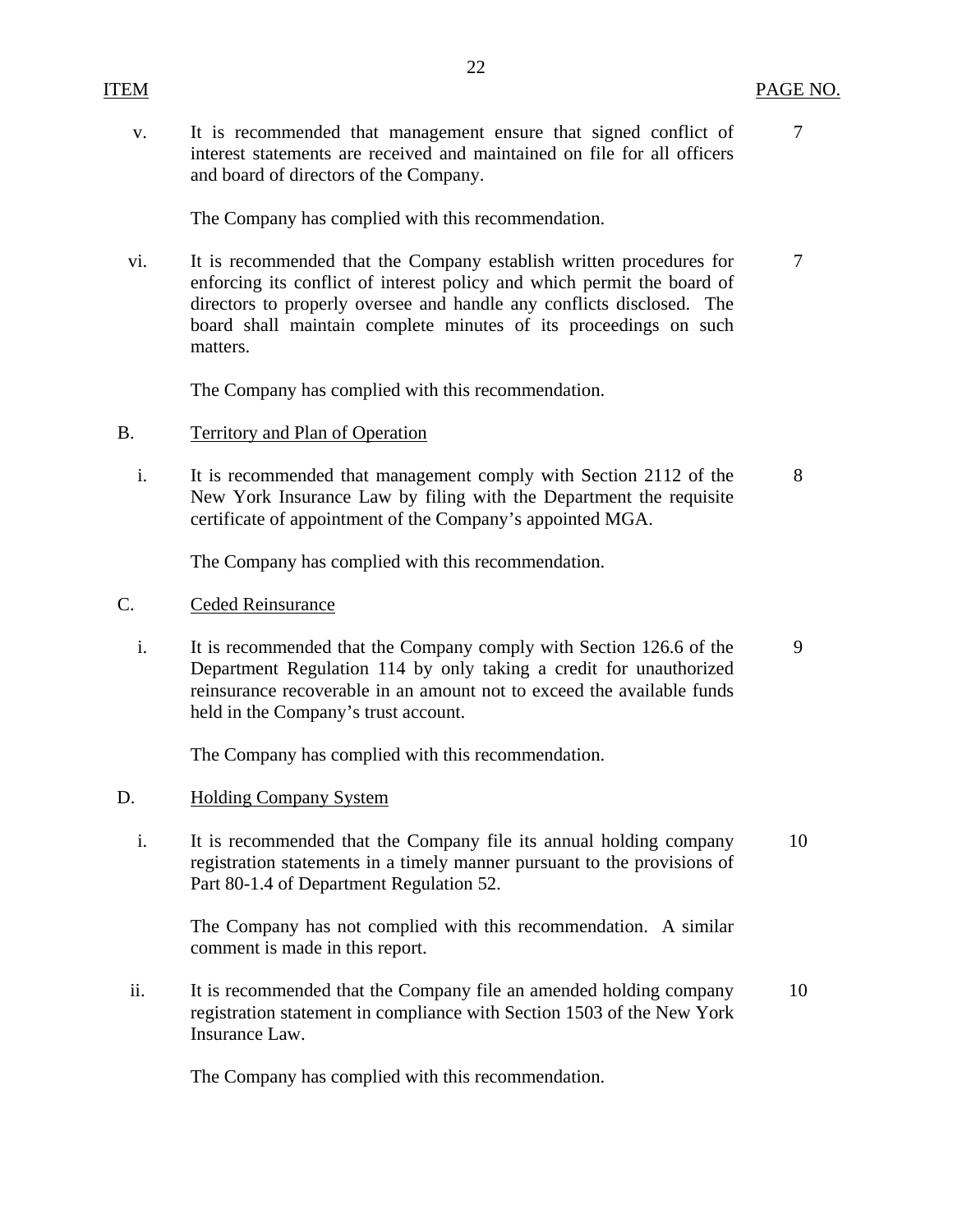v. It is recommended that management ensure that signed conflict of 7 interest statements are received and maintained on file for all officers and board of directors of the Company.

The Company has complied with this recommendation.

vi. It is recommended that the Company establish written procedures for  $\frac{7}{3}$ enforcing its conflict of interest policy and which permit the board of directors to properly oversee and handle any conflicts disclosed. The board shall maintain complete minutes of its proceedings on such matters.

The Company has complied with this recommendation.

- B. Territory and Plan of Operation
	- i. It is recommended that management comply with Section 2112 of the 8 New York Insurance Law by filing with the Department the requisite certificate of appointment of the Company's appointed MGA.

The Company has complied with this recommendation.

- C. Ceded Reinsurance
	- i. It is recommended that the Company comply with Section 126.6 of the 9 Department Regulation 114 by only taking a credit for unauthorized reinsurance recoverable in an amount not to exceed the available funds held in the Company's trust account.

The Company has complied with this recommendation.

- D. Holding Company System
	- i. It is recommended that the Company file its annual holding company 10 registration statements in a timely manner pursuant to the provisions of Part 80-1.4 of Department Regulation 52.

The Company has not complied with this recommendation. A similar comment is made in this report.

ii. It is recommended that the Company file an amended holding company 10 registration statement in compliance with Section 1503 of the New York Insurance Law.

The Company has complied with this recommendation.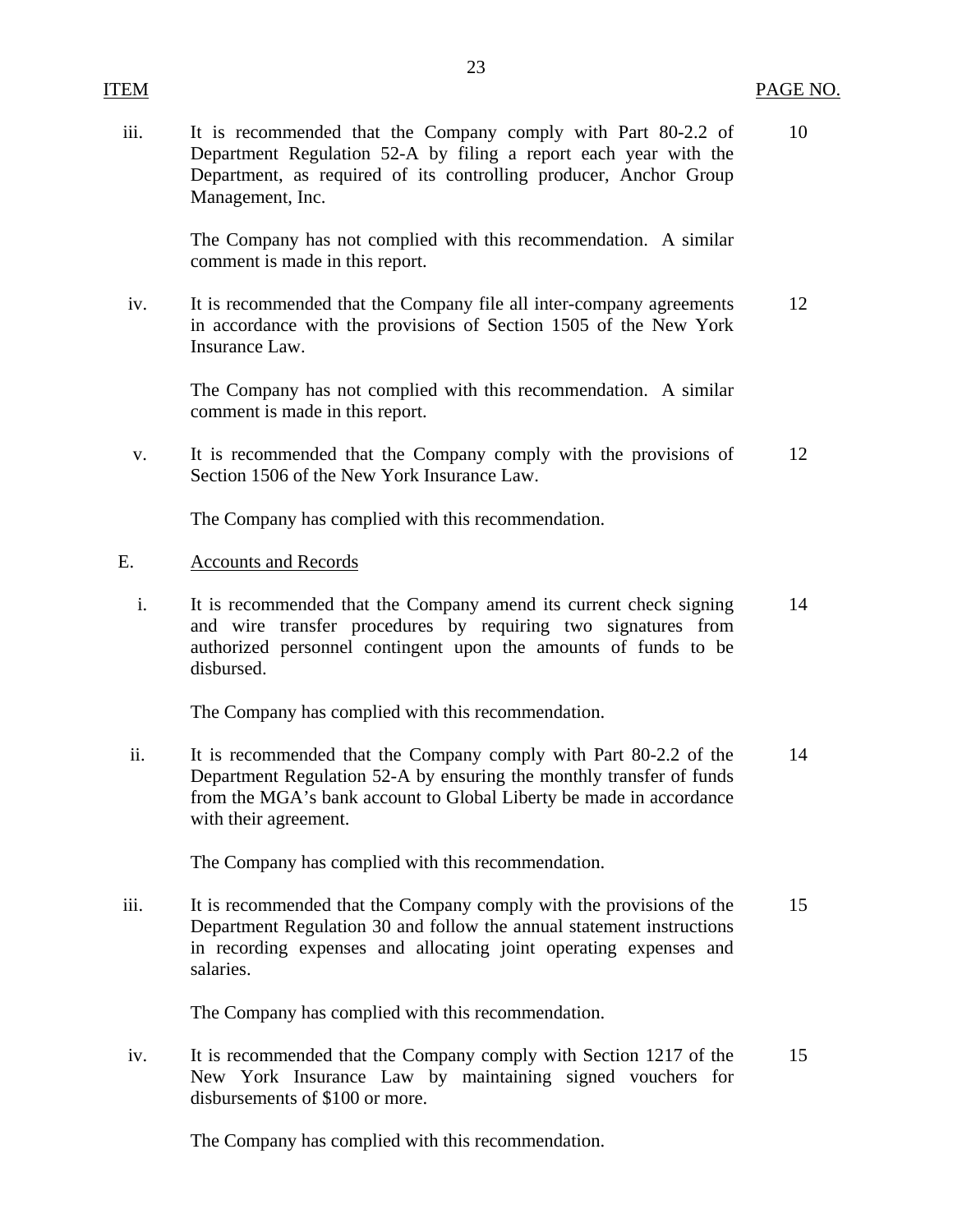iii. It is recommended that the Company comply with Part 80-2.2 of 10 Department Regulation 52-A by filing a report each year with the Department, as required of its controlling producer, Anchor Group Management, Inc.

23

The Company has not complied with this recommendation. A similar comment is made in this report.

iv. It is recommended that the Company file all inter-company agreements 12 in accordance with the provisions of Section 1505 of the New York Insurance Law.

The Company has not complied with this recommendation. A similar comment is made in this report.

v. It is recommended that the Company comply with the provisions of 12 Section 1506 of the New York Insurance Law.

The Company has complied with this recommendation.

## E. Accounts and Records

i. It is recommended that the Company amend its current check signing 14 and wire transfer procedures by requiring two signatures from authorized personnel contingent upon the amounts of funds to be disbursed.

The Company has complied with this recommendation.

ii. It is recommended that the Company comply with Part 80-2.2 of the 14 Department Regulation 52-A by ensuring the monthly transfer of funds from the MGA's bank account to Global Liberty be made in accordance with their agreement.

The Company has complied with this recommendation.

iii. It is recommended that the Company comply with the provisions of the 15 Department Regulation 30 and follow the annual statement instructions in recording expenses and allocating joint operating expenses and salaries.

The Company has complied with this recommendation.

iv. It is recommended that the Company comply with Section 1217 of the 15 New York Insurance Law by maintaining signed vouchers for disbursements of \$100 or more.

The Company has complied with this recommendation.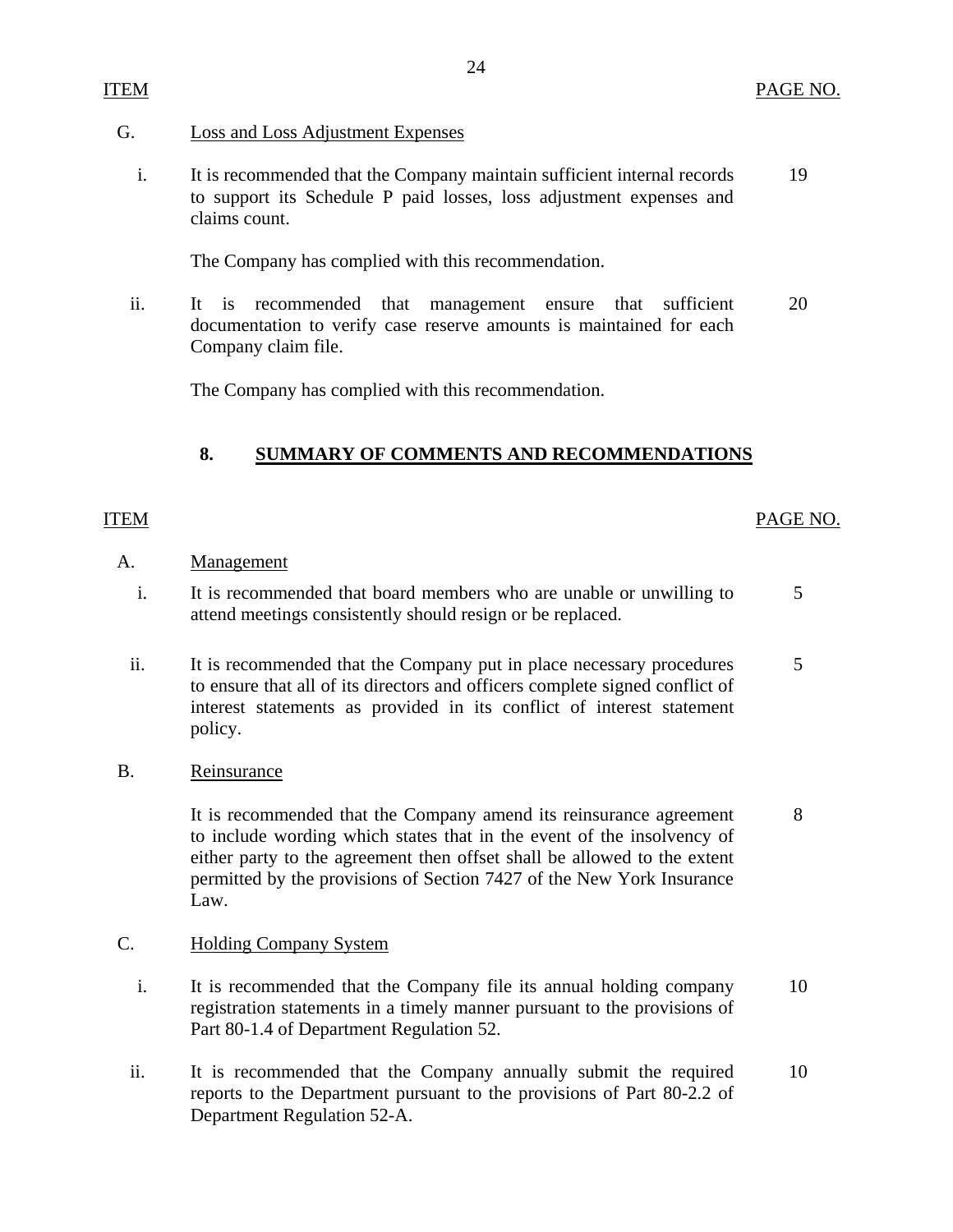## <span id="page-25-0"></span>G. Loss and Loss Adjustment Expenses

i. It is recommended that the Company maintain sufficient internal records 19 to support its Schedule P paid losses, loss adjustment expenses and claims count.

The Company has complied with this recommendation.

ii. It is recommended that management ensure that sufficient 20 documentation to verify case reserve amounts is maintained for each Company claim file.

The Company has complied with this recommendation.

## **8. SUMMARY OF COMMENTS AND RECOMMENDATIONS**

## ITEM PAGE NO.

## A. Management

- i. It is recommended that board members who are unable or unwilling to  $5$ attend meetings consistently should resign or be replaced.
- ii. It is recommended that the Company put in place necessary procedures 5 to ensure that all of its directors and officers complete signed conflict of interest statements as provided in its conflict of interest statement policy.
- B. Reinsurance

It is recommended that the Company amend its reinsurance agreement 8 to include wording which states that in the event of the insolvency of either party to the agreement then offset shall be allowed to the extent permitted by the provisions of Section 7427 of the New York Insurance Law.

## C. Holding Company System

- i. It is recommended that the Company file its annual holding company 10 registration statements in a timely manner pursuant to the provisions of Part 80-1.4 of Department Regulation 52.
- ii. It is recommended that the Company annually submit the required 10 reports to the Department pursuant to the provisions of Part 80-2.2 of Department Regulation 52-A.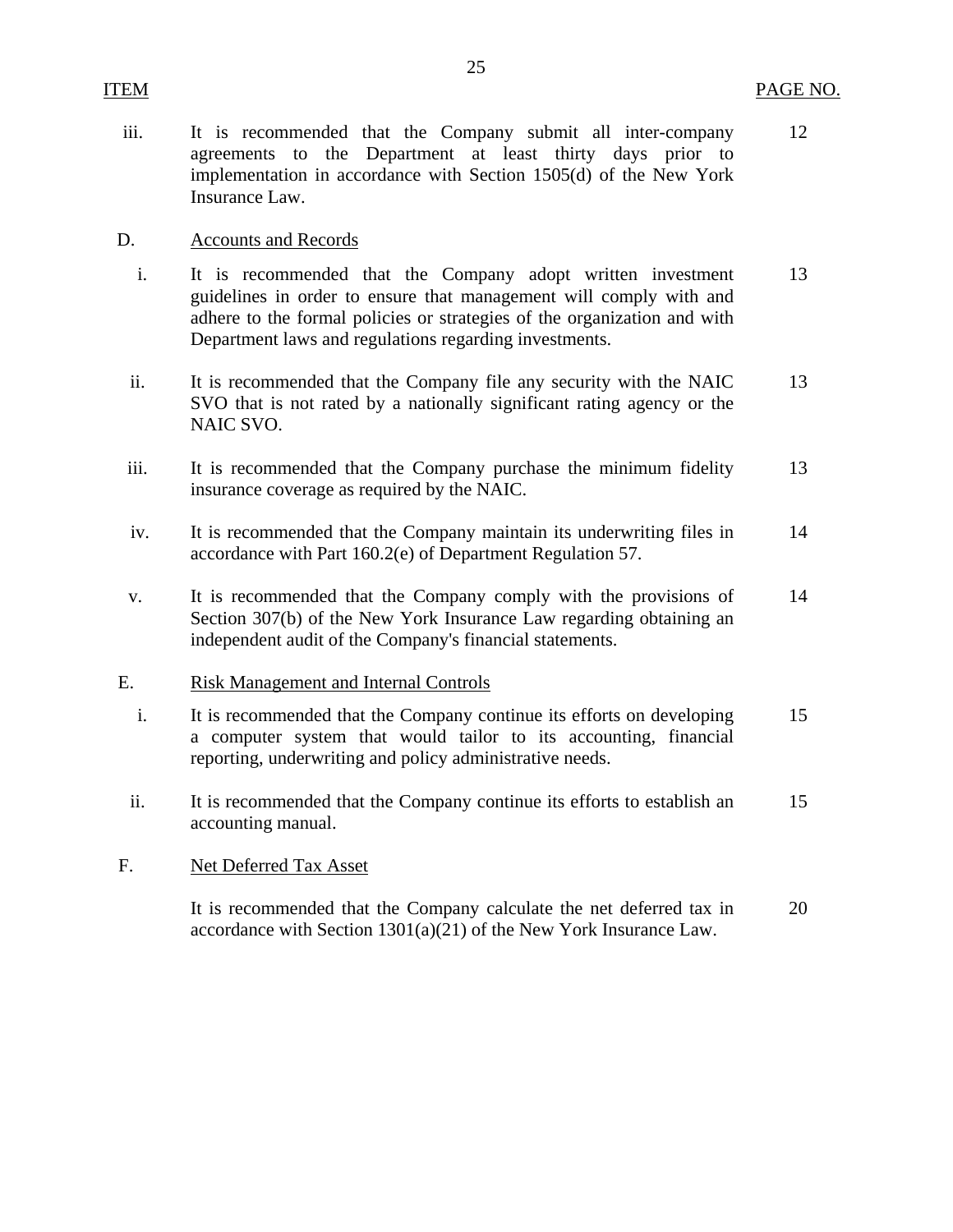12

iii. It is recommended that the Company submit all inter-company agreements to the Department at least thirty days prior to implementation in accordance with Section 1505(d) of the New York Insurance Law.

## D. Accounts and Records

<span id="page-26-0"></span>ITEM

- i. It is recommended that the Company adopt written investment guidelines in order to ensure that management will comply with and adhere to the formal policies or strategies of the organization and with Department laws and regulations regarding investments. 13
- ii. It is recommended that the Company file any security with the NAIC SVO that is not rated by a nationally significant rating agency or the NAIC SVO. 13
- iii. It is recommended that the Company purchase the minimum fidelity insurance coverage as required by the NAIC. 13
- iv. It is recommended that the Company maintain its underwriting files in accordance with Part 160.2(e) of Department Regulation 57. 14
- v. It is recommended that the Company comply with the provisions of Section 307(b) of the New York Insurance Law regarding obtaining an independent audit of the Company's financial statements. 14

## E. Risk Management and Internal Controls

- i. It is recommended that the Company continue its efforts on developing a computer system that would tailor to its accounting, financial reporting, underwriting and policy administrative needs. 15
- ii. It is recommended that the Company continue its efforts to establish an accounting manual. 15

## F. Net Deferred Tax Asset

It is recommended that the Company calculate the net deferred tax in accordance with Section 1301(a)(21) of the New York Insurance Law. 20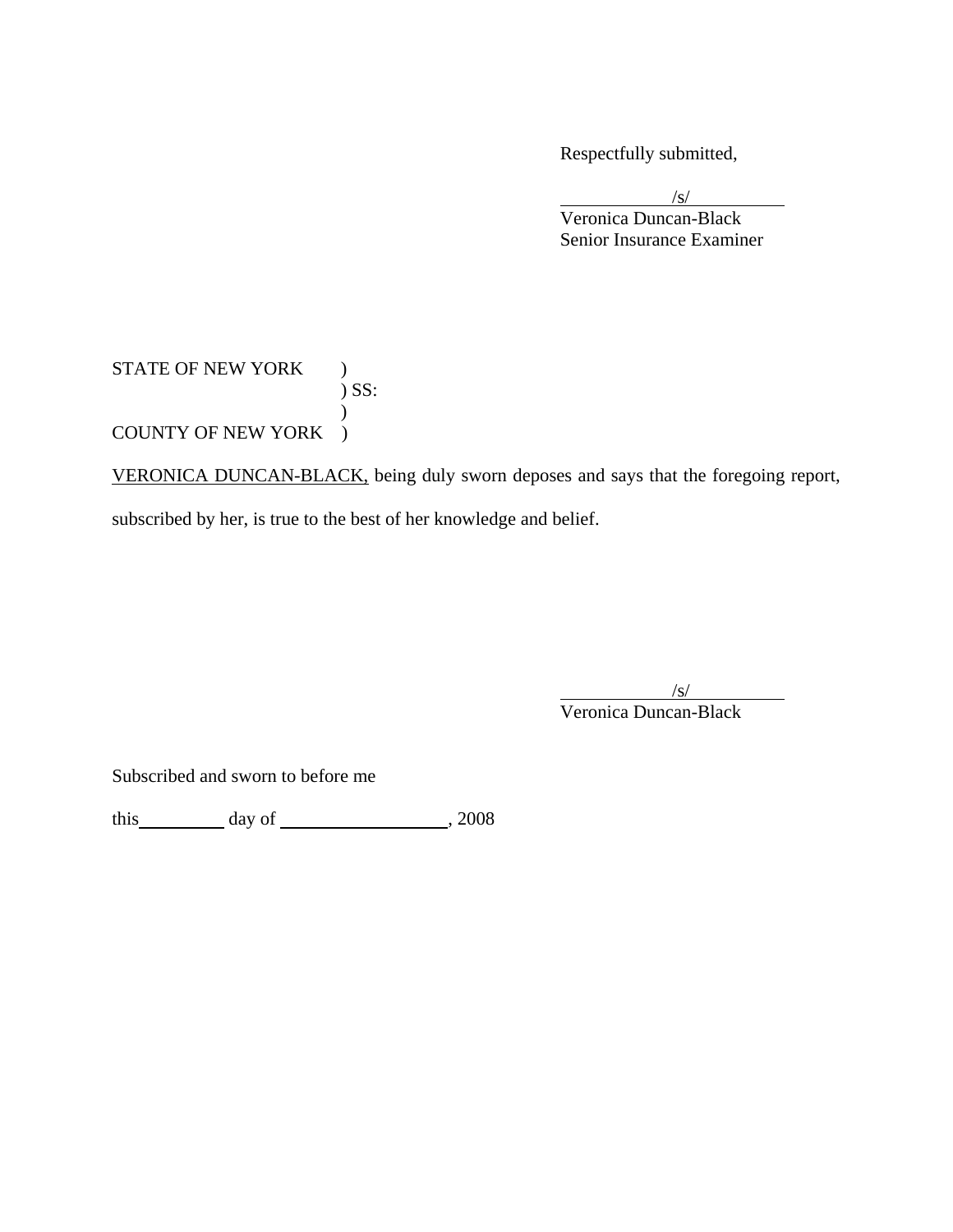Respectfully submitted,

 $\sqrt{s}$  Veronica Duncan-Black Senior Insurance Examiner

## STATE OF NEW YORK ) ) SS:  $\mathcal{L}$ COUNTY OF NEW YORK )

VERONICA DUNCAN-BLACK, being duly sworn deposes and says that the foregoing report, subscribed by her, is true to the best of her knowledge and belief.

 $\sqrt{s}$ Veronica Duncan-Black

Subscribed and sworn to before me

this day of , 2008